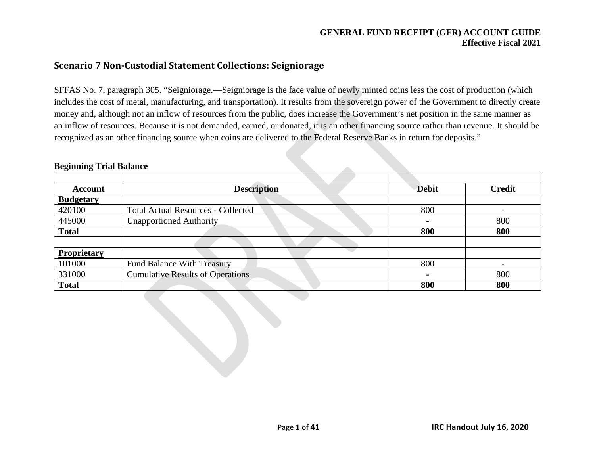## **Scenario 7 Non-Custodial Statement Collections: Seigniorage**

SFFAS No. 7, paragraph 305. "Seigniorage.—Seigniorage is the face value of newly minted coins less the cost of production (which includes the cost of metal, manufacturing, and transportation). It results from the sovereign power of the Government to directly create money and, although not an inflow of resources from the public, does increase the Government's net position in the same manner as an inflow of resources. Because it is not demanded, earned, or donated, it is an other financing source rather than revenue. It should be recognized as an other financing source when coins are delivered to the Federal Reserve Banks in return for deposits."

| <b>Account</b>   | <b>Description</b>                        | <b>Debit</b>   | <b>Credit</b> |
|------------------|-------------------------------------------|----------------|---------------|
| <b>Budgetary</b> |                                           |                |               |
| 420100           | <b>Total Actual Resources - Collected</b> | 800            |               |
| 445000           | <b>Unapportioned Authority</b>            | $\blacksquare$ | 800           |
| <b>Total</b>     |                                           | 800            | 800           |
|                  |                                           |                |               |
| Proprietary      |                                           |                |               |
| 101000           | <b>Fund Balance With Treasury</b>         | 800            |               |
| 331000           | <b>Cumulative Results of Operations</b>   | $\blacksquare$ | 800           |
| <b>Total</b>     |                                           | 800            | 800           |

#### **Beginning Trial Balance**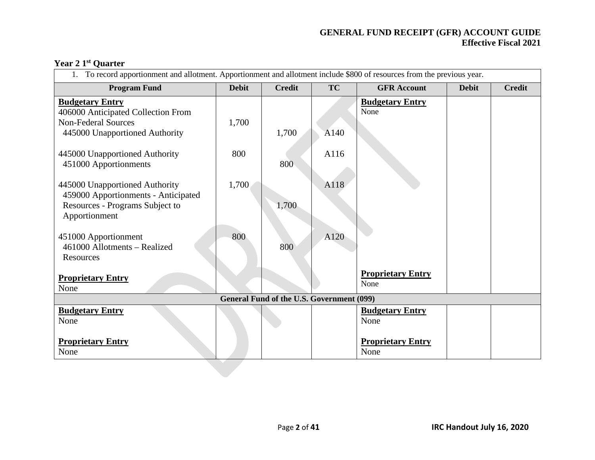# **Year 2 1st Quarter**

| To record apportionment and allotment. Apportionment and allotment include \$800 of resources from the previous year. |              |                                                  |           |                          |              |               |  |  |
|-----------------------------------------------------------------------------------------------------------------------|--------------|--------------------------------------------------|-----------|--------------------------|--------------|---------------|--|--|
| <b>Program Fund</b>                                                                                                   | <b>Debit</b> | <b>Credit</b>                                    | <b>TC</b> | <b>GFR Account</b>       | <b>Debit</b> | <b>Credit</b> |  |  |
| <b>Budgetary Entry</b>                                                                                                |              |                                                  |           | <b>Budgetary Entry</b>   |              |               |  |  |
| 406000 Anticipated Collection From                                                                                    |              |                                                  |           | None                     |              |               |  |  |
| <b>Non-Federal Sources</b>                                                                                            | 1,700        |                                                  |           |                          |              |               |  |  |
| 445000 Unapportioned Authority                                                                                        |              | 1,700                                            | A140      |                          |              |               |  |  |
|                                                                                                                       |              |                                                  |           |                          |              |               |  |  |
| 445000 Unapportioned Authority                                                                                        | 800          |                                                  | A116      |                          |              |               |  |  |
| 451000 Apportionments                                                                                                 |              | 800                                              |           |                          |              |               |  |  |
|                                                                                                                       |              |                                                  |           |                          |              |               |  |  |
| 445000 Unapportioned Authority                                                                                        | 1,700        |                                                  | A118      |                          |              |               |  |  |
| 459000 Apportionments - Anticipated                                                                                   |              |                                                  |           |                          |              |               |  |  |
| Resources - Programs Subject to                                                                                       |              | 1,700                                            |           |                          |              |               |  |  |
| Apportionment                                                                                                         |              |                                                  |           |                          |              |               |  |  |
| 451000 Apportionment                                                                                                  | 800          |                                                  | A120      |                          |              |               |  |  |
| 461000 Allotments – Realized                                                                                          |              | 800                                              |           |                          |              |               |  |  |
| Resources                                                                                                             |              |                                                  |           |                          |              |               |  |  |
|                                                                                                                       |              |                                                  |           |                          |              |               |  |  |
| <b>Proprietary Entry</b>                                                                                              |              |                                                  |           | <b>Proprietary Entry</b> |              |               |  |  |
| None                                                                                                                  |              |                                                  |           | None                     |              |               |  |  |
|                                                                                                                       |              | <b>General Fund of the U.S. Government (099)</b> |           |                          |              |               |  |  |
| <b>Budgetary Entry</b>                                                                                                |              |                                                  |           | <b>Budgetary Entry</b>   |              |               |  |  |
| None                                                                                                                  |              |                                                  |           | None                     |              |               |  |  |
|                                                                                                                       |              |                                                  |           |                          |              |               |  |  |
| <b>Proprietary Entry</b>                                                                                              |              |                                                  |           | <b>Proprietary Entry</b> |              |               |  |  |
| None                                                                                                                  |              |                                                  |           | None                     |              |               |  |  |
|                                                                                                                       |              |                                                  |           |                          |              |               |  |  |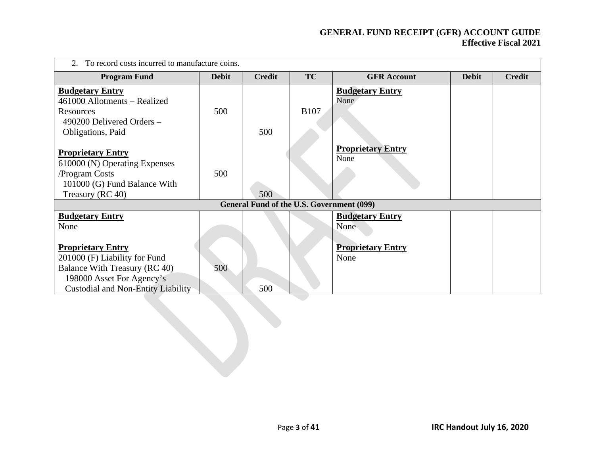| To record costs incurred to manufacture coins.                                                                                                                       |              |                                           |             |                                  |              |               |  |  |  |
|----------------------------------------------------------------------------------------------------------------------------------------------------------------------|--------------|-------------------------------------------|-------------|----------------------------------|--------------|---------------|--|--|--|
| <b>Program Fund</b>                                                                                                                                                  | <b>Debit</b> | <b>Credit</b>                             | <b>TC</b>   | <b>GFR Account</b>               | <b>Debit</b> | <b>Credit</b> |  |  |  |
| <b>Budgetary Entry</b><br>461000 Allotments – Realized<br>Resources<br>490200 Delivered Orders -<br>Obligations, Paid                                                | 500          | 500                                       | <b>B107</b> | <b>Budgetary Entry</b><br>None   |              |               |  |  |  |
| <b>Proprietary Entry</b><br>610000 (N) Operating Expenses<br>/Program Costs<br>101000 (G) Fund Balance With<br>Treasury (RC 40)                                      | 500          | 500                                       |             | <b>Proprietary Entry</b><br>None |              |               |  |  |  |
|                                                                                                                                                                      |              | General Fund of the U.S. Government (099) |             |                                  |              |               |  |  |  |
| <b>Budgetary Entry</b><br>None                                                                                                                                       |              |                                           |             | <b>Budgetary Entry</b><br>None   |              |               |  |  |  |
| <b>Proprietary Entry</b><br>201000 (F) Liability for Fund<br>Balance With Treasury (RC 40)<br>198000 Asset For Agency's<br><b>Custodial and Non-Entity Liability</b> | 500          | 500                                       |             | <b>Proprietary Entry</b><br>None |              |               |  |  |  |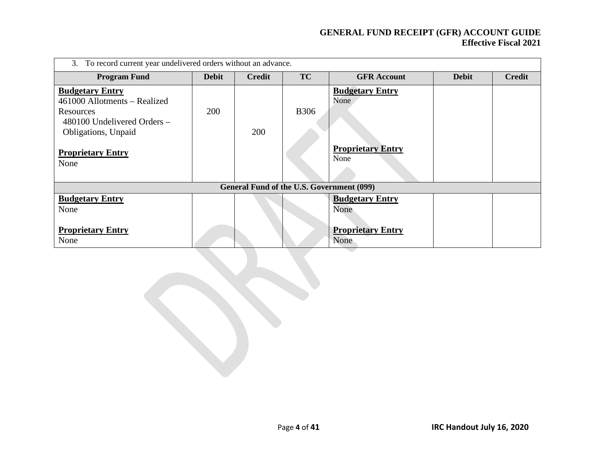| 3. To record current year undelivered orders without an advance.                                                                                              |              |                                           |              |                                                                    |              |               |  |  |  |
|---------------------------------------------------------------------------------------------------------------------------------------------------------------|--------------|-------------------------------------------|--------------|--------------------------------------------------------------------|--------------|---------------|--|--|--|
| <b>Program Fund</b>                                                                                                                                           | <b>Debit</b> | <b>Credit</b>                             | <b>TC</b>    | <b>GFR Account</b>                                                 | <b>Debit</b> | <b>Credit</b> |  |  |  |
| <b>Budgetary Entry</b><br>461000 Allotments – Realized<br>Resources<br>480100 Undelivered Orders -<br>Obligations, Unpaid<br><b>Proprietary Entry</b><br>None | 200          | 200                                       | <b>B</b> 306 | <b>Budgetary Entry</b><br>None<br><b>Proprietary Entry</b><br>None |              |               |  |  |  |
|                                                                                                                                                               |              | General Fund of the U.S. Government (099) |              |                                                                    |              |               |  |  |  |
| <b>Budgetary Entry</b><br>None                                                                                                                                |              |                                           |              | <b>Budgetary Entry</b><br>None                                     |              |               |  |  |  |
| <b>Proprietary Entry</b><br>None                                                                                                                              |              |                                           |              | <b>Proprietary Entry</b><br>None                                   |              |               |  |  |  |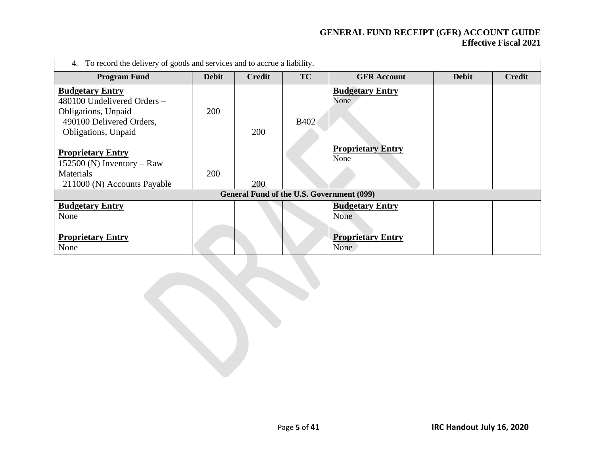| To record the delivery of goods and services and to accrue a liability.<br>4.                                                   |              |                                           |             |                                  |              |               |  |  |  |
|---------------------------------------------------------------------------------------------------------------------------------|--------------|-------------------------------------------|-------------|----------------------------------|--------------|---------------|--|--|--|
| <b>Program Fund</b>                                                                                                             | <b>Debit</b> | <b>Credit</b>                             | <b>TC</b>   | <b>GFR Account</b>               | <b>Debit</b> | <b>Credit</b> |  |  |  |
| <b>Budgetary Entry</b><br>480100 Undelivered Orders -<br>Obligations, Unpaid<br>490100 Delivered Orders,<br>Obligations, Unpaid | 200          | <b>200</b>                                | <b>B402</b> | <b>Budgetary Entry</b><br>None   |              |               |  |  |  |
| <b>Proprietary Entry</b><br>152500 (N) Inventory – Raw<br>Materials<br>211000 (N) Accounts Payable                              | 200          | 200                                       |             | <b>Proprietary Entry</b><br>None |              |               |  |  |  |
|                                                                                                                                 |              | General Fund of the U.S. Government (099) |             |                                  |              |               |  |  |  |
| <b>Budgetary Entry</b><br>None                                                                                                  |              |                                           |             | <b>Budgetary Entry</b><br>None   |              |               |  |  |  |
| <b>Proprietary Entry</b><br>None                                                                                                |              |                                           |             | <b>Proprietary Entry</b><br>None |              |               |  |  |  |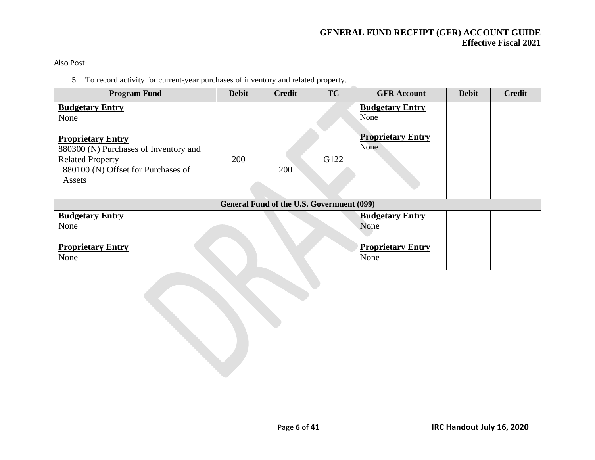Also Post:

| 5. To record activity for current-year purchases of inventory and related property.                                                                                            |              |                                           |           |                                                                    |              |               |  |  |  |
|--------------------------------------------------------------------------------------------------------------------------------------------------------------------------------|--------------|-------------------------------------------|-----------|--------------------------------------------------------------------|--------------|---------------|--|--|--|
| <b>Program Fund</b>                                                                                                                                                            | <b>Debit</b> | <b>Credit</b>                             | <b>TC</b> | <b>GFR Account</b>                                                 | <b>Debit</b> | <b>Credit</b> |  |  |  |
| <b>Budgetary Entry</b><br>None<br><b>Proprietary Entry</b><br>880300 (N) Purchases of Inventory and<br><b>Related Property</b><br>880100 (N) Offset for Purchases of<br>Assets | 200          | 200                                       | G122      | <b>Budgetary Entry</b><br>None<br><b>Proprietary Entry</b><br>None |              |               |  |  |  |
|                                                                                                                                                                                |              | General Fund of the U.S. Government (099) |           |                                                                    |              |               |  |  |  |
| <b>Budgetary Entry</b><br>None                                                                                                                                                 |              |                                           |           | <b>Budgetary Entry</b><br>None                                     |              |               |  |  |  |
| <b>Proprietary Entry</b><br>None                                                                                                                                               |              |                                           |           | <b>Proprietary Entry</b><br>None                                   |              |               |  |  |  |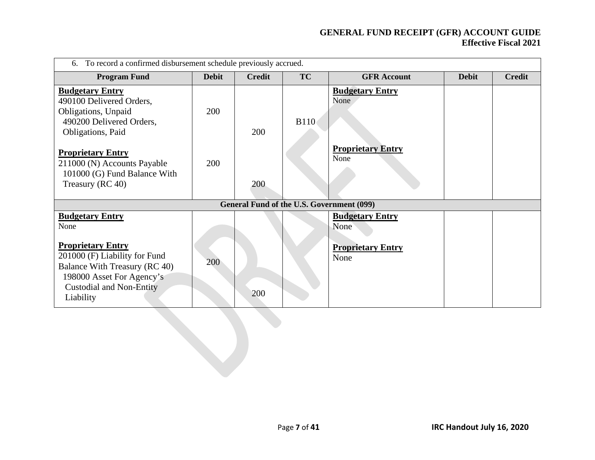| To record a confirmed disbursement schedule previously accrued.<br>6.                                                                                                   |              |                                           |             |                                  |              |               |  |  |  |
|-------------------------------------------------------------------------------------------------------------------------------------------------------------------------|--------------|-------------------------------------------|-------------|----------------------------------|--------------|---------------|--|--|--|
| <b>Program Fund</b>                                                                                                                                                     | <b>Debit</b> | <b>Credit</b>                             | TC          | <b>GFR Account</b>               | <b>Debit</b> | <b>Credit</b> |  |  |  |
| <b>Budgetary Entry</b><br>490100 Delivered Orders,<br>Obligations, Unpaid<br>490200 Delivered Orders,<br>Obligations, Paid                                              | 200          | 200                                       | <b>B110</b> | <b>Budgetary Entry</b><br>None   |              |               |  |  |  |
| <b>Proprietary Entry</b><br>211000 (N) Accounts Payable<br>101000 (G) Fund Balance With<br>Treasury (RC 40)                                                             | 200          | 200                                       |             | <b>Proprietary Entry</b><br>None |              |               |  |  |  |
|                                                                                                                                                                         |              | General Fund of the U.S. Government (099) |             |                                  |              |               |  |  |  |
| <b>Budgetary Entry</b><br>None                                                                                                                                          |              |                                           |             | <b>Budgetary Entry</b><br>None   |              |               |  |  |  |
| <b>Proprietary Entry</b><br>201000 (F) Liability for Fund<br>Balance With Treasury (RC 40)<br>198000 Asset For Agency's<br><b>Custodial and Non-Entity</b><br>Liability | 200          | 200                                       |             | <b>Proprietary Entry</b><br>None |              |               |  |  |  |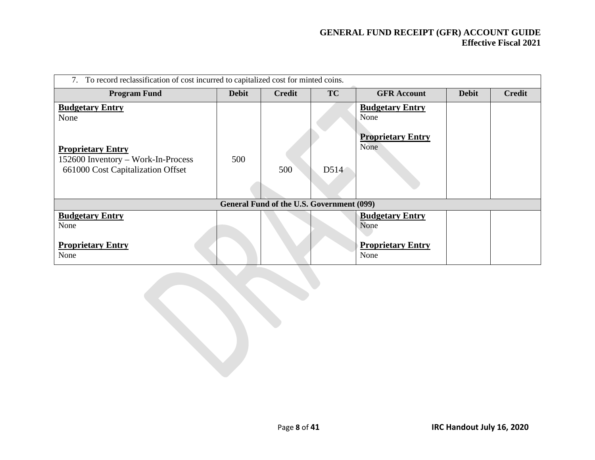| To record reclassification of cost incurred to capitalized cost for minted coins. |              |                                           |           |                                                                    |              |               |  |  |  |
|-----------------------------------------------------------------------------------|--------------|-------------------------------------------|-----------|--------------------------------------------------------------------|--------------|---------------|--|--|--|
| <b>Program Fund</b>                                                               | <b>Debit</b> | <b>Credit</b>                             | <b>TC</b> | <b>GFR Account</b>                                                 | <b>Debit</b> | <b>Credit</b> |  |  |  |
| <b>Budgetary Entry</b><br>None<br><b>Proprietary Entry</b>                        |              |                                           |           | <b>Budgetary Entry</b><br>None<br><b>Proprietary Entry</b><br>None |              |               |  |  |  |
| 152600 Inventory - Work-In-Process<br>661000 Cost Capitalization Offset           | 500          | 500                                       | D514      |                                                                    |              |               |  |  |  |
|                                                                                   |              | General Fund of the U.S. Government (099) |           |                                                                    |              |               |  |  |  |
| <b>Budgetary Entry</b><br>None                                                    |              |                                           |           | <b>Budgetary Entry</b><br>None                                     |              |               |  |  |  |
| <b>Proprietary Entry</b><br>None                                                  |              |                                           |           | <b>Proprietary Entry</b><br>None                                   |              |               |  |  |  |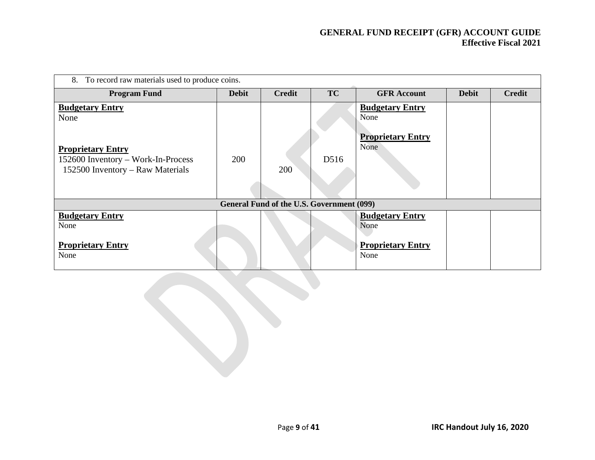| To record raw materials used to produce coins.<br>8.                                               |              |                                           |           |                                  |              |               |  |  |  |
|----------------------------------------------------------------------------------------------------|--------------|-------------------------------------------|-----------|----------------------------------|--------------|---------------|--|--|--|
| <b>Program Fund</b>                                                                                | <b>Debit</b> | <b>Credit</b>                             | <b>TC</b> | <b>GFR Account</b>               | <b>Debit</b> | <b>Credit</b> |  |  |  |
| <b>Budgetary Entry</b><br>None                                                                     |              |                                           |           | <b>Budgetary Entry</b><br>None   |              |               |  |  |  |
| <b>Proprietary Entry</b><br>152600 Inventory - Work-In-Process<br>152500 Inventory - Raw Materials | 200          | 200                                       | D516      | <b>Proprietary Entry</b><br>None |              |               |  |  |  |
|                                                                                                    |              | General Fund of the U.S. Government (099) |           |                                  |              |               |  |  |  |
| <b>Budgetary Entry</b><br>None                                                                     |              |                                           |           | <b>Budgetary Entry</b><br>None   |              |               |  |  |  |
| <b>Proprietary Entry</b><br>None                                                                   |              |                                           |           | <b>Proprietary Entry</b><br>None |              |               |  |  |  |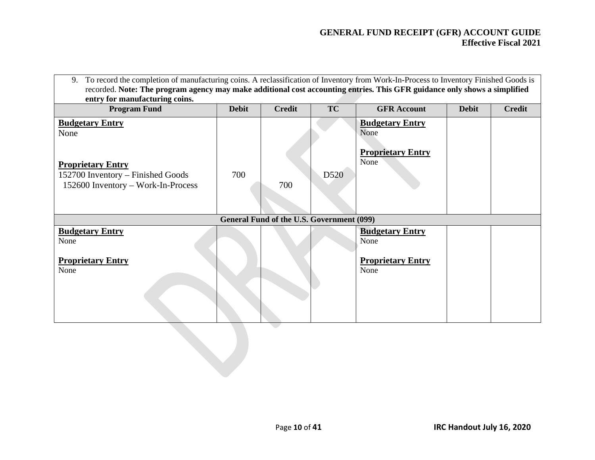| To record the completion of manufacturing coins. A reclassification of Inventory from Work-In-Process to Inventory Finished Goods is<br>9.<br>recorded. Note: The program agency may make additional cost accounting entries. This GFR guidance only shows a simplified |              |                                           |           |                                                                    |              |               |  |  |
|-------------------------------------------------------------------------------------------------------------------------------------------------------------------------------------------------------------------------------------------------------------------------|--------------|-------------------------------------------|-----------|--------------------------------------------------------------------|--------------|---------------|--|--|
| entry for manufacturing coins.                                                                                                                                                                                                                                          |              |                                           |           |                                                                    |              |               |  |  |
| <b>Program Fund</b>                                                                                                                                                                                                                                                     | <b>Debit</b> | <b>Credit</b>                             | <b>TC</b> | <b>GFR</b> Account                                                 | <b>Debit</b> | <b>Credit</b> |  |  |
| <b>Budgetary Entry</b><br>None<br><b>Proprietary Entry</b><br>152700 Inventory - Finished Goods<br>152600 Inventory - Work-In-Process                                                                                                                                   | 700          | 700                                       | D520      | <b>Budgetary Entry</b><br>None<br><b>Proprietary Entry</b><br>None |              |               |  |  |
|                                                                                                                                                                                                                                                                         |              |                                           |           |                                                                    |              |               |  |  |
|                                                                                                                                                                                                                                                                         |              | General Fund of the U.S. Government (099) |           |                                                                    |              |               |  |  |
| <b>Budgetary Entry</b><br>None                                                                                                                                                                                                                                          |              |                                           |           | <b>Budgetary Entry</b><br>None                                     |              |               |  |  |
| <b>Proprietary Entry</b><br>None                                                                                                                                                                                                                                        |              |                                           |           | <b>Proprietary Entry</b><br>None                                   |              |               |  |  |
|                                                                                                                                                                                                                                                                         |              |                                           |           |                                                                    |              |               |  |  |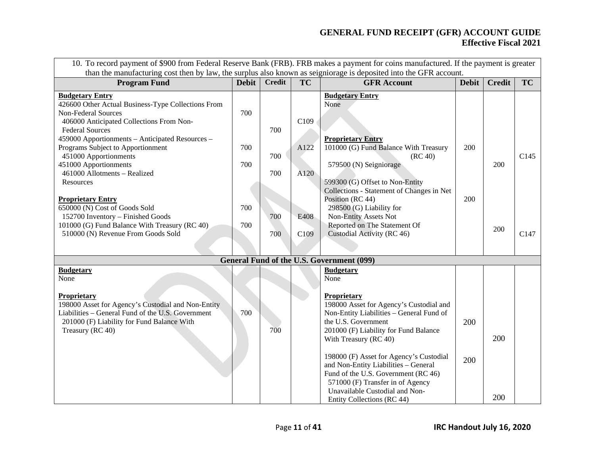| 10. To record payment of \$900 from Federal Reserve Bank (FRB). FRB makes a payment for coins manufactured. If the payment is greater<br>than the manufacturing cost then by law, the surplus also known as seigniorage is deposited into the GFR account. |              |                   |              |                                                                                                                                                                                                                                                                                                                                                                                                                           |              |               |                  |  |
|------------------------------------------------------------------------------------------------------------------------------------------------------------------------------------------------------------------------------------------------------------|--------------|-------------------|--------------|---------------------------------------------------------------------------------------------------------------------------------------------------------------------------------------------------------------------------------------------------------------------------------------------------------------------------------------------------------------------------------------------------------------------------|--------------|---------------|------------------|--|
| <b>Program Fund</b>                                                                                                                                                                                                                                        | <b>Debit</b> | <b>Credit</b>     | <b>TC</b>    | <b>GFR Account</b>                                                                                                                                                                                                                                                                                                                                                                                                        | <b>Debit</b> | <b>Credit</b> | <b>TC</b>        |  |
| <b>Budgetary Entry</b><br>426600 Other Actual Business-Type Collections From<br><b>Non-Federal Sources</b><br>406000 Anticipated Collections From Non-                                                                                                     | 700          |                   | C109         | <b>Budgetary Entry</b><br>None                                                                                                                                                                                                                                                                                                                                                                                            |              |               |                  |  |
| <b>Federal Sources</b><br>459000 Apportionments - Anticipated Resources -<br>Programs Subject to Apportionment<br>451000 Apportionments<br>451000 Apportionments<br>461000 Allotments - Realized                                                           | 700<br>700   | 700<br>700<br>700 | A122<br>A120 | <b>Proprietary Entry</b><br>101000 (G) Fund Balance With Treasury<br>(RC 40)<br>579500 (N) Seigniorage                                                                                                                                                                                                                                                                                                                    | 200          | 200           | C <sub>145</sub> |  |
| Resources<br><b>Proprietary Entry</b><br>650000 (N) Cost of Goods Sold<br>152700 Inventory - Finished Goods                                                                                                                                                | 700          | 700               | E408         | 599300 (G) Offset to Non-Entity<br>Collections - Statement of Changes in Net<br>Position (RC 44)<br>298500 (G) Liability for<br>Non-Entity Assets Not                                                                                                                                                                                                                                                                     | 200          |               |                  |  |
| 101000 (G) Fund Balance With Treasury (RC 40)<br>510000 (N) Revenue From Goods Sold                                                                                                                                                                        | 700          | 700               | C109         | Reported on The Statement Of<br>Custodial Activity (RC 46)                                                                                                                                                                                                                                                                                                                                                                |              | 200           | C <sub>147</sub> |  |
|                                                                                                                                                                                                                                                            |              |                   |              | General Fund of the U.S. Government (099)                                                                                                                                                                                                                                                                                                                                                                                 |              |               |                  |  |
| <b>Budgetary</b><br>None                                                                                                                                                                                                                                   |              |                   |              | <b>Budgetary</b><br>None                                                                                                                                                                                                                                                                                                                                                                                                  |              |               |                  |  |
| Proprietary<br>198000 Asset for Agency's Custodial and Non-Entity<br>Liabilities – General Fund of the U.S. Government<br>201000 (F) Liability for Fund Balance With<br>Treasury (RC 40)                                                                   | 700          | 700               |              | Proprietary<br>198000 Asset for Agency's Custodial and<br>Non-Entity Liabilities - General Fund of<br>the U.S. Government<br>201000 (F) Liability for Fund Balance<br>With Treasury (RC 40)<br>198000 (F) Asset for Agency's Custodial<br>and Non-Entity Liabilities - General<br>Fund of the U.S. Government (RC 46)<br>571000 (F) Transfer in of Agency<br>Unavailable Custodial and Non-<br>Entity Collections (RC 44) | 200<br>200   | 200<br>200    |                  |  |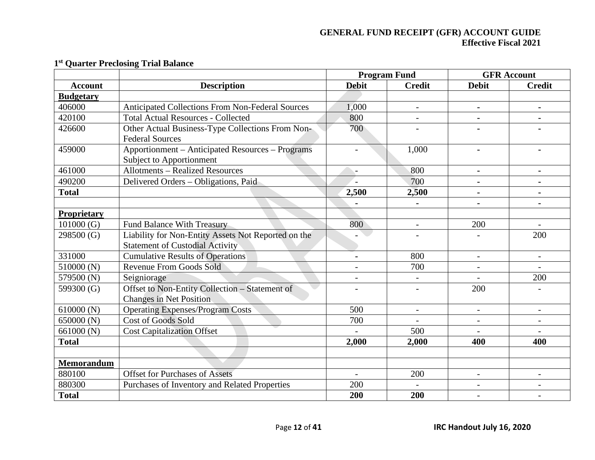|                  |                                                         |                | <b>Program Fund</b>      | <b>GFR Account</b>       |                          |  |
|------------------|---------------------------------------------------------|----------------|--------------------------|--------------------------|--------------------------|--|
| <b>Account</b>   | <b>Description</b>                                      | <b>Debit</b>   | <b>Credit</b>            | <b>Debit</b>             | <b>Credit</b>            |  |
| <b>Budgetary</b> |                                                         |                |                          |                          |                          |  |
| 406000           | <b>Anticipated Collections From Non-Federal Sources</b> | 1,000          | $\overline{\phantom{a}}$ | $\blacksquare$           |                          |  |
| 420100           | <b>Total Actual Resources - Collected</b>               | 800            | $\overline{\phantom{0}}$ |                          |                          |  |
| 426600           | Other Actual Business-Type Collections From Non-        | 700            |                          |                          |                          |  |
|                  | <b>Federal Sources</b>                                  |                |                          |                          |                          |  |
| 459000           | Apportionment – Anticipated Resources – Programs        |                | 1,000                    |                          |                          |  |
|                  | <b>Subject to Apportionment</b>                         |                |                          |                          |                          |  |
| 461000           | <b>Allotments - Realized Resources</b>                  | $\overline{a}$ | 800                      | $\blacksquare$           |                          |  |
| 490200           | Delivered Orders – Obligations, Paid                    |                | 700                      | $\blacksquare$           |                          |  |
| <b>Total</b>     |                                                         | 2,500          | 2,500                    | $\blacksquare$           |                          |  |
|                  |                                                         |                |                          |                          |                          |  |
| Proprietary      |                                                         |                |                          |                          |                          |  |
| 101000(G)        | <b>Fund Balance With Treasury</b>                       | 800            | $\overline{a}$           | 200                      |                          |  |
| 298500 (G)       | Liability for Non-Entity Assets Not Reported on the     |                |                          |                          | 200                      |  |
|                  | <b>Statement of Custodial Activity</b>                  |                |                          |                          |                          |  |
| 331000           | <b>Cumulative Results of Operations</b>                 | $\blacksquare$ | 800                      | $\overline{\phantom{a}}$ |                          |  |
| 510000(N)        | <b>Revenue From Goods Sold</b>                          | $\overline{a}$ | 700                      |                          |                          |  |
| 579500 (N)       | Seigniorage                                             | $\overline{a}$ |                          |                          | 200                      |  |
| 599300 (G)       | Offset to Non-Entity Collection - Statement of          |                |                          | 200                      |                          |  |
|                  | <b>Changes in Net Position</b>                          |                |                          |                          |                          |  |
| 610000(N)        | <b>Operating Expenses/Program Costs</b>                 | 500            | $\overline{\phantom{a}}$ | $\overline{\phantom{a}}$ | $\overline{\phantom{a}}$ |  |
| 650000 (N)       | <b>Cost of Goods Sold</b>                               | 700            |                          |                          |                          |  |
| 661000 (N)       | <b>Cost Capitalization Offset</b>                       |                | 500                      |                          |                          |  |
| <b>Total</b>     |                                                         | 2,000          | 2,000                    | 400                      | 400                      |  |
|                  |                                                         |                |                          |                          |                          |  |
| Memorandum       |                                                         |                |                          |                          |                          |  |
| 880100           | <b>Offset for Purchases of Assets</b>                   |                | 200                      | $\overline{\phantom{a}}$ |                          |  |
| 880300           | Purchases of Inventory and Related Properties           | 200            |                          | $\overline{\phantom{a}}$ |                          |  |
| <b>Total</b>     |                                                         | 200            | 200                      |                          |                          |  |

### **1st Quarter Preclosing Trial Balance**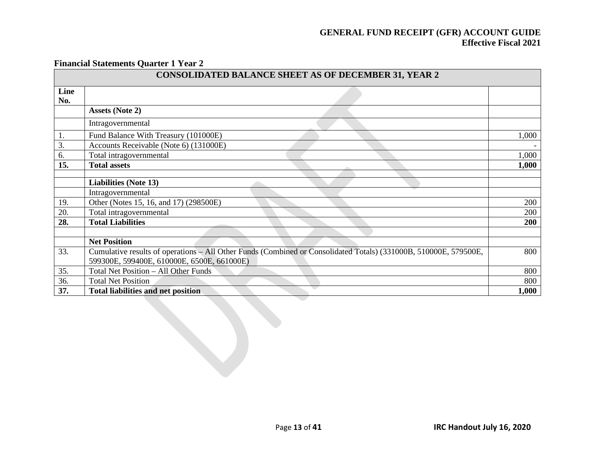#### **Financial Statements Quarter 1 Year 2**

| <b>CONSOLIDATED BALANCE SHEET AS OF DECEMBER 31, YEAR 2</b> |                                                                                                                  |       |  |  |  |  |  |
|-------------------------------------------------------------|------------------------------------------------------------------------------------------------------------------|-------|--|--|--|--|--|
| Line<br>No.                                                 |                                                                                                                  |       |  |  |  |  |  |
|                                                             | <b>Assets (Note 2)</b>                                                                                           |       |  |  |  |  |  |
|                                                             | Intragovernmental                                                                                                |       |  |  |  |  |  |
| ī.                                                          | Fund Balance With Treasury (101000E)                                                                             | 1,000 |  |  |  |  |  |
| 3.                                                          | Accounts Receivable (Note 6) (131000E)                                                                           |       |  |  |  |  |  |
| 6.                                                          | Total intragovernmental                                                                                          | 1,000 |  |  |  |  |  |
| 15.                                                         | <b>Total assets</b>                                                                                              | 1,000 |  |  |  |  |  |
|                                                             |                                                                                                                  |       |  |  |  |  |  |
|                                                             | <b>Liabilities (Note 13)</b>                                                                                     |       |  |  |  |  |  |
|                                                             | Intragovernmental                                                                                                |       |  |  |  |  |  |
| 19.                                                         | Other (Notes 15, 16, and 17) (298500E)                                                                           | 200   |  |  |  |  |  |
| 20.                                                         | Total intragovernmental                                                                                          | 200   |  |  |  |  |  |
| 28.                                                         | <b>Total Liabilities</b>                                                                                         | 200   |  |  |  |  |  |
|                                                             |                                                                                                                  |       |  |  |  |  |  |
|                                                             | <b>Net Position</b>                                                                                              |       |  |  |  |  |  |
| 33.                                                         | Cumulative results of operations – All Other Funds (Combined or Consolidated Totals) (331000B, 510000E, 579500E, | 800   |  |  |  |  |  |
|                                                             | 599300E, 599400E, 610000E, 6500E, 661000E)                                                                       |       |  |  |  |  |  |
| 35.                                                         | Total Net Position - All Other Funds                                                                             | 800   |  |  |  |  |  |
| 36.                                                         | <b>Total Net Position</b>                                                                                        | 800   |  |  |  |  |  |
| 37.                                                         | <b>Total liabilities and net position</b>                                                                        | 1,000 |  |  |  |  |  |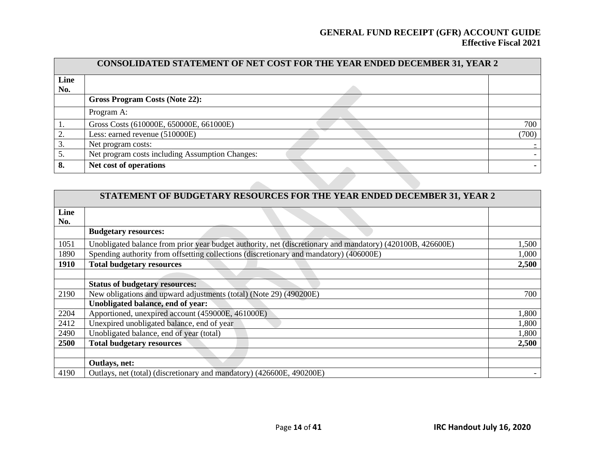|      | CONSOLIDATED STATEMENT OF NET COST FOR THE YEAR ENDED DECEMBER 31, YEAR 2 |       |  |  |  |  |  |  |  |
|------|---------------------------------------------------------------------------|-------|--|--|--|--|--|--|--|
| Line |                                                                           |       |  |  |  |  |  |  |  |
| No.  |                                                                           |       |  |  |  |  |  |  |  |
|      | <b>Gross Program Costs (Note 22):</b>                                     |       |  |  |  |  |  |  |  |
|      | Program A:                                                                |       |  |  |  |  |  |  |  |
|      | Gross Costs (610000E, 650000E, 661000E)                                   | 700   |  |  |  |  |  |  |  |
|      | Less: earned revenue (510000E)                                            | (700) |  |  |  |  |  |  |  |
|      | Net program costs:                                                        |       |  |  |  |  |  |  |  |
| 5.   | Net program costs including Assumption Changes:                           |       |  |  |  |  |  |  |  |
| 8.   | Net cost of operations                                                    |       |  |  |  |  |  |  |  |

|             | STATEMENT OF BUDGETARY RESOURCES FOR THE YEAR ENDED DECEMBER 31, YEAR 2                                    |       |
|-------------|------------------------------------------------------------------------------------------------------------|-------|
| Line<br>No. |                                                                                                            |       |
|             | <b>Budgetary resources:</b>                                                                                |       |
| 1051        | Unobligated balance from prior year budget authority, net (discretionary and mandatory) (420100B, 426600E) | 1,500 |
| 1890        | Spending authority from offsetting collections (discretionary and mandatory) (406000E)                     | 1,000 |
| <b>1910</b> | <b>Total budgetary resources</b>                                                                           | 2,500 |
|             |                                                                                                            |       |
|             | <b>Status of budgetary resources:</b>                                                                      |       |
| 2190        | New obligations and upward adjustments (total) (Note 29) (490200E)                                         | 700   |
|             | Unobligated balance, end of year:                                                                          |       |
| 2204        | Apportioned, unexpired account (459000E, 461000E)                                                          | 1,800 |
| 2412        | Unexpired unobligated balance, end of year                                                                 | 1,800 |
| 2490        | Unobligated balance, end of year (total)                                                                   | 1,800 |
| 2500        | <b>Total budgetary resources</b>                                                                           | 2,500 |
|             |                                                                                                            |       |
|             | Outlays, net:                                                                                              |       |
| 4190        | Outlays, net (total) (discretionary and mandatory) (426600E, 490200E)                                      |       |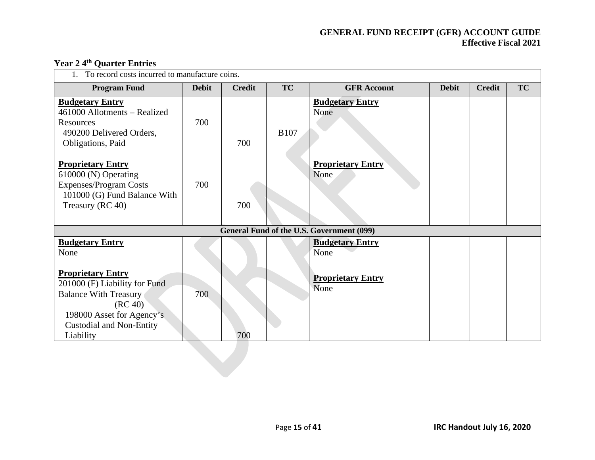| To record costs incurred to manufacture coins.                                                                                                                                    |              |               |             |                                           |              |               |           |  |  |  |
|-----------------------------------------------------------------------------------------------------------------------------------------------------------------------------------|--------------|---------------|-------------|-------------------------------------------|--------------|---------------|-----------|--|--|--|
| <b>Program Fund</b>                                                                                                                                                               | <b>Debit</b> | <b>Credit</b> | <b>TC</b>   | <b>GFR Account</b>                        | <b>Debit</b> | <b>Credit</b> | <b>TC</b> |  |  |  |
| <b>Budgetary Entry</b><br>461000 Allotments – Realized<br>Resources<br>490200 Delivered Orders,<br>Obligations, Paid                                                              | 700          | 700           | <b>B107</b> | <b>Budgetary Entry</b><br>None            |              |               |           |  |  |  |
| <b>Proprietary Entry</b><br>610000 (N) Operating<br><b>Expenses/Program Costs</b><br>101000 (G) Fund Balance With<br>Treasury (RC 40)                                             | 700          | 700           |             | <b>Proprietary Entry</b><br>None          |              |               |           |  |  |  |
|                                                                                                                                                                                   |              |               |             | General Fund of the U.S. Government (099) |              |               |           |  |  |  |
| <b>Budgetary Entry</b><br>None                                                                                                                                                    |              |               |             | <b>Budgetary Entry</b><br>None            |              |               |           |  |  |  |
| <b>Proprietary Entry</b><br>201000 (F) Liability for Fund<br><b>Balance With Treasury</b><br>(RC 40)<br>198000 Asset for Agency's<br><b>Custodial and Non-Entity</b><br>Liability | 700          | 700           |             | <b>Proprietary Entry</b><br>None          |              |               |           |  |  |  |

# **Year 2 4th Quarter Entries**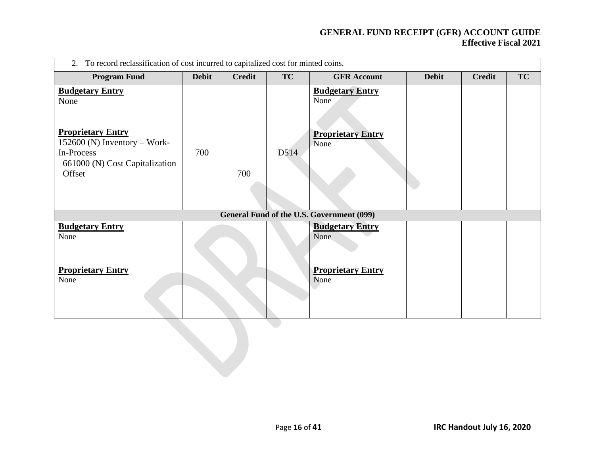| 2. To record reclassification of cost incurred to capitalized cost for minted coins.                     |              |               |           |                                                                    |              |               |           |  |  |  |  |
|----------------------------------------------------------------------------------------------------------|--------------|---------------|-----------|--------------------------------------------------------------------|--------------|---------------|-----------|--|--|--|--|
| <b>Program Fund</b>                                                                                      | <b>Debit</b> | <b>Credit</b> | <b>TC</b> | <b>GFR Account</b>                                                 | <b>Debit</b> | <b>Credit</b> | <b>TC</b> |  |  |  |  |
| <b>Budgetary Entry</b><br>None<br><b>Proprietary Entry</b><br>152600 (N) Inventory - Work-<br>In-Process | 700          |               | D514      | <b>Budgetary Entry</b><br>None<br><b>Proprietary Entry</b><br>None |              |               |           |  |  |  |  |
| 661000 (N) Cost Capitalization<br>Offset                                                                 |              | 700           |           |                                                                    |              |               |           |  |  |  |  |
|                                                                                                          |              |               |           | <b>General Fund of the U.S. Government (099)</b>                   |              |               |           |  |  |  |  |
| <b>Budgetary Entry</b><br>None                                                                           |              |               |           | <b>Budgetary Entry</b><br>None                                     |              |               |           |  |  |  |  |
| <b>Proprietary Entry</b><br>None                                                                         |              |               |           | <b>Proprietary Entry</b><br>None                                   |              |               |           |  |  |  |  |
|                                                                                                          |              |               |           |                                                                    |              |               |           |  |  |  |  |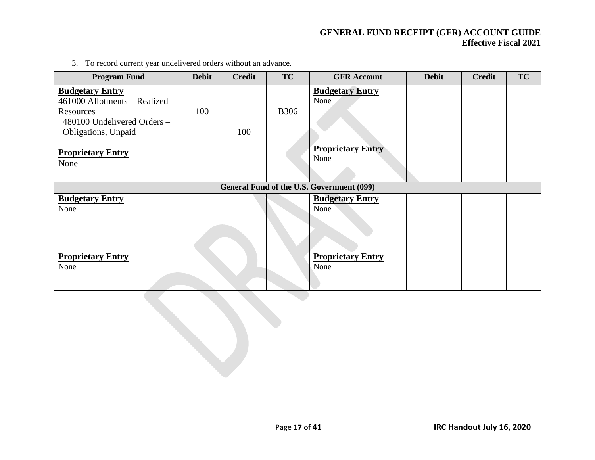| To record current year undelivered orders without an advance.<br>3.                                                       |              |               |             |                                           |              |               |           |  |  |  |  |
|---------------------------------------------------------------------------------------------------------------------------|--------------|---------------|-------------|-------------------------------------------|--------------|---------------|-----------|--|--|--|--|
| <b>Program Fund</b>                                                                                                       | <b>Debit</b> | <b>Credit</b> | TC          | <b>GFR</b> Account                        | <b>Debit</b> | <b>Credit</b> | <b>TC</b> |  |  |  |  |
| <b>Budgetary Entry</b><br>461000 Allotments - Realized<br>Resources<br>480100 Undelivered Orders -<br>Obligations, Unpaid | 100          | 100           | <b>B306</b> | <b>Budgetary Entry</b><br>None            |              |               |           |  |  |  |  |
| <b>Proprietary Entry</b><br>None                                                                                          |              |               |             | <b>Proprietary Entry</b><br>None          |              |               |           |  |  |  |  |
|                                                                                                                           |              |               |             | General Fund of the U.S. Government (099) |              |               |           |  |  |  |  |
| <b>Budgetary Entry</b><br>None                                                                                            |              |               |             | <b>Budgetary Entry</b><br>None            |              |               |           |  |  |  |  |
| <b>Proprietary Entry</b><br>None                                                                                          |              |               |             | <b>Proprietary Entry</b><br>None          |              |               |           |  |  |  |  |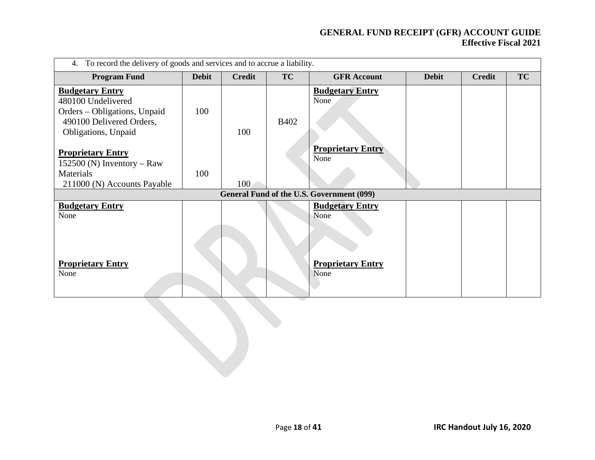| To record the delivery of goods and services and to accrue a liability.<br>4.                                                   |              |               |             |                                                                               |              |               |           |  |  |  |  |
|---------------------------------------------------------------------------------------------------------------------------------|--------------|---------------|-------------|-------------------------------------------------------------------------------|--------------|---------------|-----------|--|--|--|--|
| <b>Program Fund</b>                                                                                                             | <b>Debit</b> | <b>Credit</b> | TC          | <b>GFR</b> Account                                                            | <b>Debit</b> | <b>Credit</b> | <b>TC</b> |  |  |  |  |
| <b>Budgetary Entry</b><br>480100 Undelivered<br>Orders – Obligations, Unpaid<br>490100 Delivered Orders,<br>Obligations, Unpaid | 100          | 100           | <b>B402</b> | <b>Budgetary Entry</b><br>None                                                |              |               |           |  |  |  |  |
| <b>Proprietary Entry</b><br>$152500$ (N) Inventory – Raw<br>Materials<br>211000 (N) Accounts Payable                            | 100          | 100           |             | <b>Proprietary Entry</b><br>None<br>General Fund of the U.S. Government (099) |              |               |           |  |  |  |  |
| <b>Budgetary Entry</b><br>None<br><b>Proprietary Entry</b>                                                                      |              |               |             | <b>Budgetary Entry</b><br>None<br><b>Proprietary Entry</b>                    |              |               |           |  |  |  |  |
| None                                                                                                                            |              |               |             | None                                                                          |              |               |           |  |  |  |  |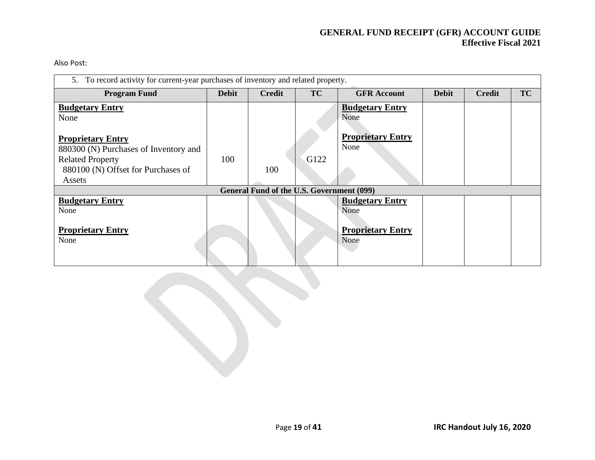Also Post:

| 5. To record activity for current-year purchases of inventory and related property.          |              |                                                  |           |                                  |              |               |           |  |  |  |
|----------------------------------------------------------------------------------------------|--------------|--------------------------------------------------|-----------|----------------------------------|--------------|---------------|-----------|--|--|--|
| <b>Program Fund</b>                                                                          | <b>Debit</b> | <b>Credit</b>                                    | <b>TC</b> | <b>GFR Account</b>               | <b>Debit</b> | <b>Credit</b> | <b>TC</b> |  |  |  |
| <b>Budgetary Entry</b><br>None                                                               |              |                                                  |           | <b>Budgetary Entry</b><br>None   |              |               |           |  |  |  |
| <b>Proprietary Entry</b><br>880300 (N) Purchases of Inventory and<br><b>Related Property</b> | 100          |                                                  | G122      | <b>Proprietary Entry</b><br>None |              |               |           |  |  |  |
| 880100 (N) Offset for Purchases of<br>Assets                                                 |              | 100                                              |           |                                  |              |               |           |  |  |  |
|                                                                                              |              | <b>General Fund of the U.S. Government (099)</b> |           |                                  |              |               |           |  |  |  |
| <b>Budgetary Entry</b><br>None                                                               |              |                                                  |           | <b>Budgetary Entry</b><br>None   |              |               |           |  |  |  |
| <b>Proprietary Entry</b><br>None                                                             |              |                                                  |           | <b>Proprietary Entry</b><br>None |              |               |           |  |  |  |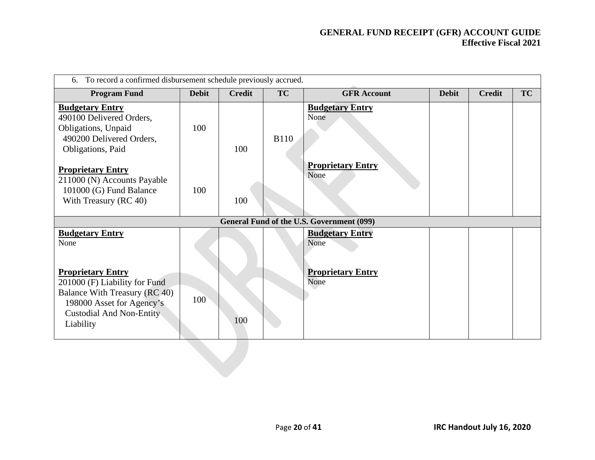| To record a confirmed disbursement schedule previously accrued.<br>6.                                                                                                                                     |              |               |             |                                                                    |              |               |           |  |  |
|-----------------------------------------------------------------------------------------------------------------------------------------------------------------------------------------------------------|--------------|---------------|-------------|--------------------------------------------------------------------|--------------|---------------|-----------|--|--|
| <b>Program Fund</b>                                                                                                                                                                                       | <b>Debit</b> | <b>Credit</b> | TC          | <b>GFR Account</b>                                                 | <b>Debit</b> | <b>Credit</b> | <b>TC</b> |  |  |
| <b>Budgetary Entry</b><br>490100 Delivered Orders,<br>Obligations, Unpaid<br>490200 Delivered Orders,<br>Obligations, Paid                                                                                | 100          | 100           | <b>B110</b> | <b>Budgetary Entry</b><br>None                                     |              |               |           |  |  |
| <b>Proprietary Entry</b><br>211000 (N) Accounts Payable<br>101000 (G) Fund Balance<br>With Treasury (RC 40)                                                                                               | 100          | 100           |             | <b>Proprietary Entry</b><br>None                                   |              |               |           |  |  |
|                                                                                                                                                                                                           |              |               |             | <b>General Fund of the U.S. Government (099)</b>                   |              |               |           |  |  |
| <b>Budgetary Entry</b><br>None<br><b>Proprietary Entry</b><br>201000 (F) Liability for Fund<br>Balance With Treasury (RC 40)<br>198000 Asset for Agency's<br><b>Custodial And Non-Entity</b><br>Liability | 100          | 100           |             | <b>Budgetary Entry</b><br>None<br><b>Proprietary Entry</b><br>None |              |               |           |  |  |
|                                                                                                                                                                                                           |              |               |             |                                                                    |              |               |           |  |  |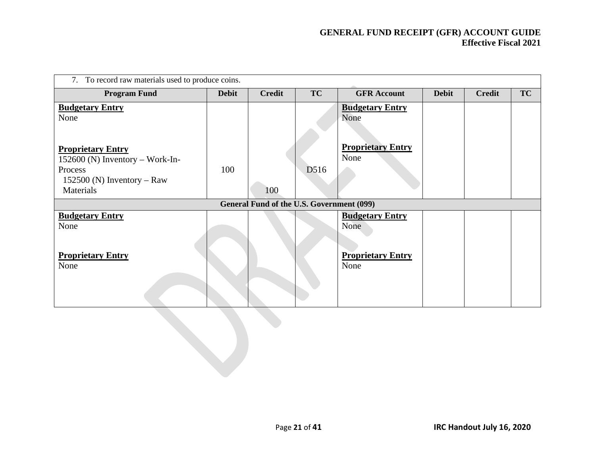| To record raw materials used to produce coins.<br>7.          |              |                                           |                   |                                  |              |               |    |  |  |  |  |
|---------------------------------------------------------------|--------------|-------------------------------------------|-------------------|----------------------------------|--------------|---------------|----|--|--|--|--|
| <b>Program Fund</b>                                           | <b>Debit</b> | <b>Credit</b>                             | <b>TC</b>         | <b>GFR Account</b>               | <b>Debit</b> | <b>Credit</b> | TC |  |  |  |  |
| <b>Budgetary Entry</b><br>None                                |              |                                           |                   | <b>Budgetary Entry</b><br>None   |              |               |    |  |  |  |  |
| <b>Proprietary Entry</b><br>$152600$ (N) Inventory – Work-In- |              |                                           |                   | <b>Proprietary Entry</b><br>None |              |               |    |  |  |  |  |
| Process                                                       | 100          |                                           | D <sub>5</sub> 16 |                                  |              |               |    |  |  |  |  |
| 152500 (N) Inventory – Raw<br>Materials                       |              | 100                                       |                   |                                  |              |               |    |  |  |  |  |
|                                                               |              | General Fund of the U.S. Government (099) |                   |                                  |              |               |    |  |  |  |  |
| <b>Budgetary Entry</b><br>None                                |              |                                           |                   | <b>Budgetary Entry</b><br>None   |              |               |    |  |  |  |  |
| <b>Proprietary Entry</b><br>None                              |              |                                           |                   | <b>Proprietary Entry</b><br>None |              |               |    |  |  |  |  |
|                                                               |              |                                           |                   |                                  |              |               |    |  |  |  |  |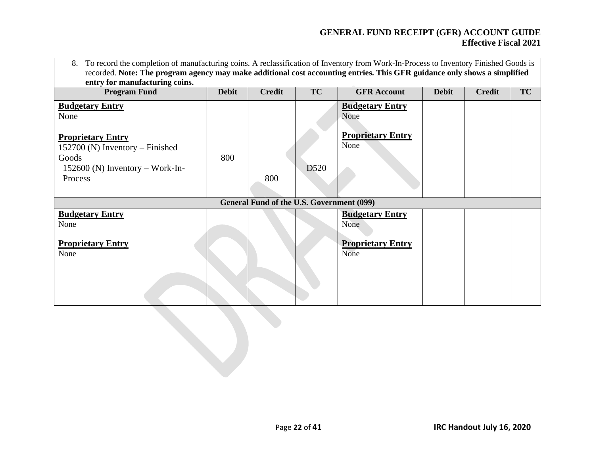| To record the completion of manufacturing coins. A reclassification of Inventory from Work-In-Process to Inventory Finished Goods is<br>8.<br>recorded. Note: The program agency may make additional cost accounting entries. This GFR guidance only shows a simplified<br>entry for manufacturing coins. |              |                                                  |                  |                                  |              |               |    |  |  |
|-----------------------------------------------------------------------------------------------------------------------------------------------------------------------------------------------------------------------------------------------------------------------------------------------------------|--------------|--------------------------------------------------|------------------|----------------------------------|--------------|---------------|----|--|--|
| <b>Program Fund</b>                                                                                                                                                                                                                                                                                       | <b>Debit</b> | <b>Credit</b>                                    | TC               | <b>GFR Account</b>               | <b>Debit</b> | <b>Credit</b> | TC |  |  |
| <b>Budgetary Entry</b><br>None                                                                                                                                                                                                                                                                            |              |                                                  |                  | <b>Budgetary Entry</b><br>None   |              |               |    |  |  |
| <b>Proprietary Entry</b><br>$152700$ (N) Inventory – Finished                                                                                                                                                                                                                                             |              |                                                  |                  | <b>Proprietary Entry</b><br>None |              |               |    |  |  |
| Goods<br>$152600$ (N) Inventory – Work-In-                                                                                                                                                                                                                                                                | 800          |                                                  | D <sub>520</sub> |                                  |              |               |    |  |  |
| Process                                                                                                                                                                                                                                                                                                   |              | 800                                              |                  |                                  |              |               |    |  |  |
|                                                                                                                                                                                                                                                                                                           |              | <b>General Fund of the U.S. Government (099)</b> |                  |                                  |              |               |    |  |  |
| <b>Budgetary Entry</b><br>None                                                                                                                                                                                                                                                                            |              |                                                  |                  | <b>Budgetary Entry</b><br>None   |              |               |    |  |  |
| <b>Proprietary Entry</b><br>None                                                                                                                                                                                                                                                                          |              |                                                  |                  | <b>Proprietary Entry</b><br>None |              |               |    |  |  |
|                                                                                                                                                                                                                                                                                                           |              |                                                  |                  |                                  |              |               |    |  |  |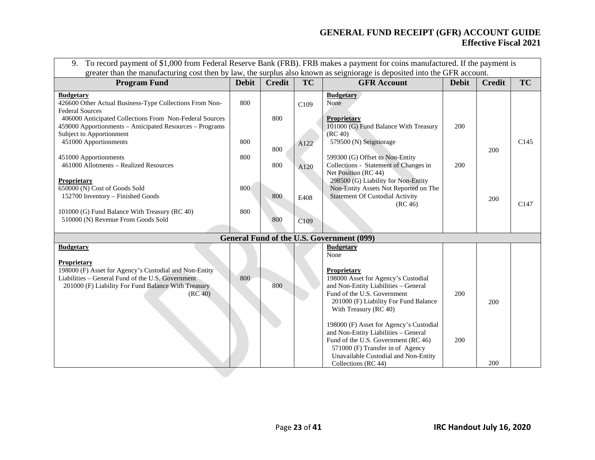| To record payment of \$1,000 from Federal Reserve Bank (FRB). FRB makes a payment for coins manufactured. If the payment is<br>9.<br>greater than the manufacturing cost then by law, the surplus also known as seigniorage is deposited into the GFR account. |              |               |           |                                                                                                                                                                                                                           |              |               |                  |  |  |  |  |
|----------------------------------------------------------------------------------------------------------------------------------------------------------------------------------------------------------------------------------------------------------------|--------------|---------------|-----------|---------------------------------------------------------------------------------------------------------------------------------------------------------------------------------------------------------------------------|--------------|---------------|------------------|--|--|--|--|
| <b>Program Fund</b>                                                                                                                                                                                                                                            | <b>Debit</b> | <b>Credit</b> | <b>TC</b> | <b>GFR</b> Account                                                                                                                                                                                                        | <b>Debit</b> | <b>Credit</b> | <b>TC</b>        |  |  |  |  |
| <b>Budgetary</b><br>426600 Other Actual Business-Type Collections From Non-<br><b>Federal Sources</b>                                                                                                                                                          | 800          |               | C109      | <b>Budgetary</b><br>None                                                                                                                                                                                                  |              |               |                  |  |  |  |  |
| 406000 Anticipated Collections From Non-Federal Sources<br>459000 Apportionments - Anticipated Resources - Programs<br>Subject to Apportionment                                                                                                                |              | 800           |           | Proprietary<br>101000 (G) Fund Balance With Treasury<br>(RC 40)                                                                                                                                                           | 200          |               |                  |  |  |  |  |
| 451000 Apportionments<br>451000 Apportionments                                                                                                                                                                                                                 | 800<br>800   | 800           | A122      | 579500 (N) Seigniorage<br>599300 (G) Offset to Non-Entity                                                                                                                                                                 |              | 200           | C <sub>145</sub> |  |  |  |  |
| 461000 Allotments - Realized Resources<br>Proprietary                                                                                                                                                                                                          |              | 800           | A120      | Collections - Statement of Changes in<br>Net Position (RC 44)<br>298500 (G) Liability for Non-Entity                                                                                                                      | 200          |               |                  |  |  |  |  |
| 650000 (N) Cost of Goods Sold<br>152700 Inventory - Finished Goods                                                                                                                                                                                             | 800          | 800           | E408      | Non-Entity Assets Not Reported on The<br><b>Statement Of Custodial Activity</b><br>(RC 46)                                                                                                                                |              | 200           | C <sub>147</sub> |  |  |  |  |
| 101000 (G) Fund Balance With Treasury (RC 40)<br>510000 (N) Revenue From Goods Sold                                                                                                                                                                            | 800          | 800           | C109      |                                                                                                                                                                                                                           |              |               |                  |  |  |  |  |
|                                                                                                                                                                                                                                                                |              |               |           | General Fund of the U.S. Government (099)                                                                                                                                                                                 |              |               |                  |  |  |  |  |
| <b>Budgetary</b>                                                                                                                                                                                                                                               |              |               |           | <b>Budgetary</b><br>None                                                                                                                                                                                                  |              |               |                  |  |  |  |  |
| Proprietary<br>198000 (F) Asset for Agency's Custodial and Non-Entity<br>Liabilities – General Fund of the U.S. Government<br>201000 (F) Liability For Fund Balance With Treasury<br>(RC 40)                                                                   | 800          | 800           |           | Proprietary<br>198000 Asset for Agency's Custodial<br>and Non-Entity Liabilities - General<br>Fund of the U.S. Government<br>201000 (F) Liability For Fund Balance<br>With Treasury (RC 40)                               | 200          | 200           |                  |  |  |  |  |
|                                                                                                                                                                                                                                                                |              |               |           | 198000 (F) Asset for Agency's Custodial<br>and Non-Entity Liabilities - General<br>Fund of the U.S. Government (RC 46)<br>571000 (F) Transfer in of Agency<br>Unavailable Custodial and Non-Entity<br>Collections (RC 44) | 200          | 200           |                  |  |  |  |  |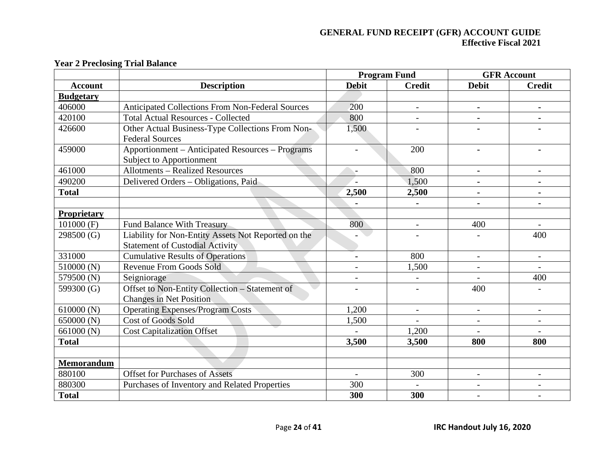|                    |                                                         |                | <b>Program Fund</b>      |                          | <b>GFR Account</b>       |
|--------------------|---------------------------------------------------------|----------------|--------------------------|--------------------------|--------------------------|
| <b>Account</b>     | <b>Description</b>                                      | <b>Debit</b>   | <b>Credit</b>            | <b>Debit</b>             | <b>Credit</b>            |
| <b>Budgetary</b>   |                                                         |                |                          |                          |                          |
| 406000             | <b>Anticipated Collections From Non-Federal Sources</b> | 200            | $\overline{\phantom{a}}$ | $\blacksquare$           | $\blacksquare$           |
| 420100             | <b>Total Actual Resources - Collected</b>               | 800            | $\overline{\phantom{a}}$ | $\blacksquare$           |                          |
| 426600             | Other Actual Business-Type Collections From Non-        | 1,500          |                          |                          |                          |
|                    | <b>Federal Sources</b>                                  |                |                          |                          |                          |
| 459000             | Apportionment – Anticipated Resources – Programs        |                | 200                      |                          |                          |
|                    | Subject to Apportionment                                |                |                          |                          |                          |
| 461000             | <b>Allotments - Realized Resources</b>                  | $\overline{a}$ | 800                      | $\blacksquare$           | $\blacksquare$           |
| 490200             | Delivered Orders – Obligations, Paid                    |                | 1,500                    | $\blacksquare$           | $\blacksquare$           |
| <b>Total</b>       |                                                         | 2,500          | 2,500                    |                          |                          |
|                    |                                                         |                |                          |                          |                          |
| <b>Proprietary</b> |                                                         |                |                          |                          |                          |
| $101000$ (F)       | <b>Fund Balance With Treasury</b>                       | 800            | $\blacksquare$           | 400                      |                          |
| 298500 (G)         | Liability for Non-Entity Assets Not Reported on the     |                |                          |                          | 400                      |
|                    | <b>Statement of Custodial Activity</b>                  |                |                          |                          |                          |
| 331000             | <b>Cumulative Results of Operations</b>                 | $\blacksquare$ | 800                      | $\overline{\phantom{a}}$ | $\overline{\phantom{a}}$ |
| 510000 (N)         | <b>Revenue From Goods Sold</b>                          |                | 1,500                    |                          |                          |
| 579500 (N)         | Seigniorage                                             |                |                          |                          | 400                      |
| 599300 (G)         | Offset to Non-Entity Collection - Statement of          |                |                          | 400                      |                          |
|                    | <b>Changes in Net Position</b>                          |                |                          |                          |                          |
| 610000(N)          | <b>Operating Expenses/Program Costs</b>                 | 1,200          | $\overline{\phantom{a}}$ | $\overline{\phantom{a}}$ | $\overline{\phantom{a}}$ |
| 650000 (N)         | <b>Cost of Goods Sold</b>                               | 1,500          |                          |                          |                          |
| 661000 (N)         | <b>Cost Capitalization Offset</b>                       |                | 1,200                    |                          |                          |
| <b>Total</b>       |                                                         | 3,500          | 3,500                    | 800                      | 800                      |
|                    |                                                         |                |                          |                          |                          |
| <b>Memorandum</b>  |                                                         |                |                          |                          |                          |
| 880100             | <b>Offset for Purchases of Assets</b>                   |                | 300                      | $\overline{\phantom{0}}$ |                          |
| 880300             | Purchases of Inventory and Related Properties           | 300            |                          | $\overline{\phantom{0}}$ |                          |
| <b>Total</b>       |                                                         | 300            | 300                      |                          |                          |

# **Year 2 Preclosing Trial Balance**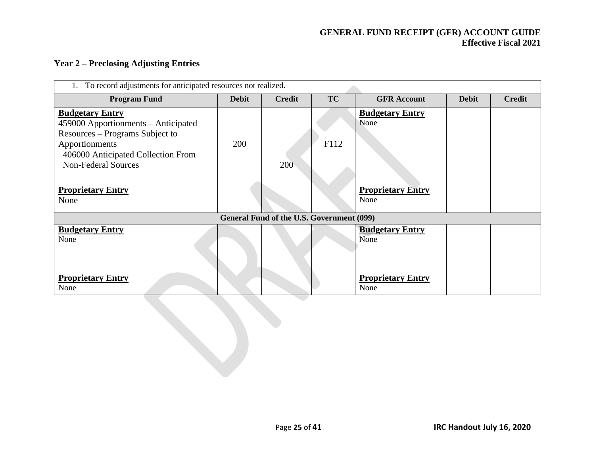### **Year 2 – Preclosing Adjusting Entries**

| To record adjustments for anticipated resources not realized.                                                                                                                          |              |                                           |           |                                  |              |               |
|----------------------------------------------------------------------------------------------------------------------------------------------------------------------------------------|--------------|-------------------------------------------|-----------|----------------------------------|--------------|---------------|
| <b>Program Fund</b>                                                                                                                                                                    | <b>Debit</b> | <b>Credit</b>                             | <b>TC</b> | <b>GFR</b> Account               | <b>Debit</b> | <b>Credit</b> |
| <b>Budgetary Entry</b><br>459000 Apportionments – Anticipated<br>Resources - Programs Subject to<br>Apportionments<br>406000 Anticipated Collection From<br><b>Non-Federal Sources</b> | 200          | 200                                       | F112      | <b>Budgetary Entry</b><br>None   |              |               |
| <b>Proprietary Entry</b><br>None                                                                                                                                                       |              |                                           |           | <b>Proprietary Entry</b><br>None |              |               |
|                                                                                                                                                                                        |              | General Fund of the U.S. Government (099) |           |                                  |              |               |
| <b>Budgetary Entry</b><br>None                                                                                                                                                         |              |                                           |           | <b>Budgetary Entry</b><br>None   |              |               |
| <b>Proprietary Entry</b><br>None                                                                                                                                                       |              |                                           |           | <b>Proprietary Entry</b><br>None |              |               |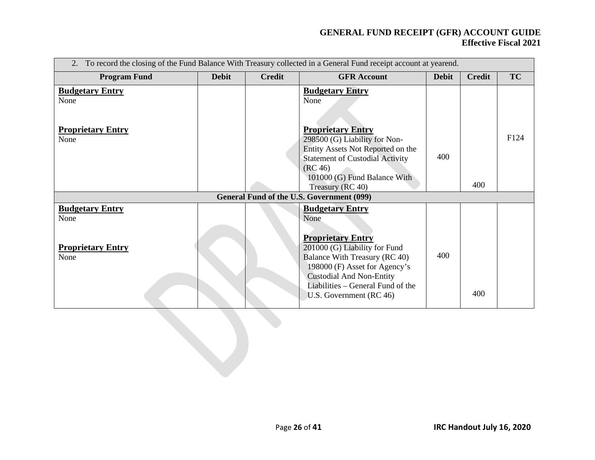| To record the closing of the Fund Balance With Treasury collected in a General Fund receipt account at yearend.<br>2. |              |               |                                                                                                                                                                                                                                                                  |              |               |           |
|-----------------------------------------------------------------------------------------------------------------------|--------------|---------------|------------------------------------------------------------------------------------------------------------------------------------------------------------------------------------------------------------------------------------------------------------------|--------------|---------------|-----------|
| <b>Program Fund</b>                                                                                                   | <b>Debit</b> | <b>Credit</b> | <b>GFR</b> Account                                                                                                                                                                                                                                               | <b>Debit</b> | <b>Credit</b> | <b>TC</b> |
| <b>Budgetary Entry</b><br>None                                                                                        |              |               | <b>Budgetary Entry</b><br>None                                                                                                                                                                                                                                   |              |               |           |
| <b>Proprietary Entry</b><br>None                                                                                      |              |               | <b>Proprietary Entry</b><br>298500 (G) Liability for Non-<br>Entity Assets Not Reported on the<br><b>Statement of Custodial Activity</b><br>(RC 46)<br>101000 (G) Fund Balance With<br>Treasury (RC 40)                                                          | 400          | 400           | F124      |
|                                                                                                                       |              |               | General Fund of the U.S. Government (099)                                                                                                                                                                                                                        |              |               |           |
| <b>Budgetary Entry</b><br>None<br><b>Proprietary Entry</b><br>None                                                    |              |               | <b>Budgetary Entry</b><br>None<br><b>Proprietary Entry</b><br>201000 (G) Liability for Fund<br>Balance With Treasury (RC 40)<br>198000 (F) Asset for Agency's<br><b>Custodial And Non-Entity</b><br>Liabilities – General Fund of the<br>U.S. Government (RC 46) | 400          | 400           |           |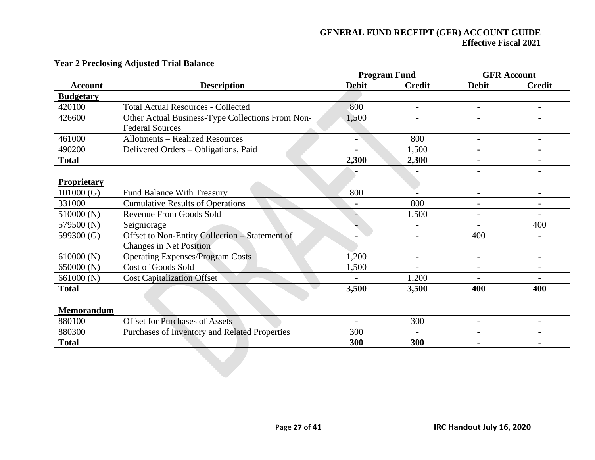|                    |                                                  |                          | <b>Program Fund</b>      |                          | <b>GFR Account</b>       |
|--------------------|--------------------------------------------------|--------------------------|--------------------------|--------------------------|--------------------------|
| <b>Account</b>     | <b>Description</b>                               | <b>Debit</b>             | <b>Credit</b>            | <b>Debit</b>             | <b>Credit</b>            |
| <b>Budgetary</b>   |                                                  |                          |                          |                          |                          |
| 420100             | <b>Total Actual Resources - Collected</b>        | 800                      | $\overline{\phantom{a}}$ | $\blacksquare$           | $\blacksquare$           |
| 426600             | Other Actual Business-Type Collections From Non- | 1,500                    |                          |                          |                          |
|                    | <b>Federal Sources</b>                           |                          |                          |                          |                          |
| 461000             | <b>Allotments - Realized Resources</b>           | $\overline{\phantom{0}}$ | 800                      | $\blacksquare$           |                          |
| 490200             | Delivered Orders - Obligations, Paid             |                          | 1,500                    |                          |                          |
| <b>Total</b>       |                                                  | 2,300                    | 2,300                    |                          |                          |
|                    |                                                  |                          | $\blacksquare$           | $\blacksquare$           | $\blacksquare$           |
| <b>Proprietary</b> |                                                  |                          |                          |                          |                          |
| 101000(G)          | <b>Fund Balance With Treasury</b>                | 800                      |                          |                          |                          |
| 331000             | <b>Cumulative Results of Operations</b>          |                          | 800                      |                          |                          |
| 510000 (N)         | Revenue From Goods Sold                          |                          | 1,500                    |                          |                          |
| 579500 (N)         | Seigniorage                                      |                          | $\overline{\phantom{a}}$ |                          | 400                      |
| 599300 (G)         | Offset to Non-Entity Collection - Statement of   |                          | $\overline{\phantom{0}}$ | 400                      |                          |
|                    | <b>Changes in Net Position</b>                   |                          |                          |                          |                          |
| 610000(N)          | <b>Operating Expenses/Program Costs</b>          | 1,200                    | $\overline{\phantom{a}}$ | $\blacksquare$           |                          |
| 650000 (N)         | <b>Cost of Goods Sold</b>                        | 1,500                    |                          | $\overline{\phantom{a}}$ |                          |
| 661000 (N)         | <b>Cost Capitalization Offset</b>                |                          | 1,200                    |                          |                          |
| <b>Total</b>       |                                                  | 3,500                    | 3,500                    | 400                      | 400                      |
|                    |                                                  |                          |                          |                          |                          |
| <b>Memorandum</b>  |                                                  |                          |                          |                          |                          |
| 880100             | <b>Offset for Purchases of Assets</b>            | $\sim$                   | 300                      | $\overline{\phantom{a}}$ | $\overline{\phantom{0}}$ |
| 880300             | Purchases of Inventory and Related Properties    | 300                      |                          |                          |                          |
| <b>Total</b>       |                                                  | 300                      | 300                      |                          |                          |

## **Year 2 Preclosing Adjusted Trial Balance**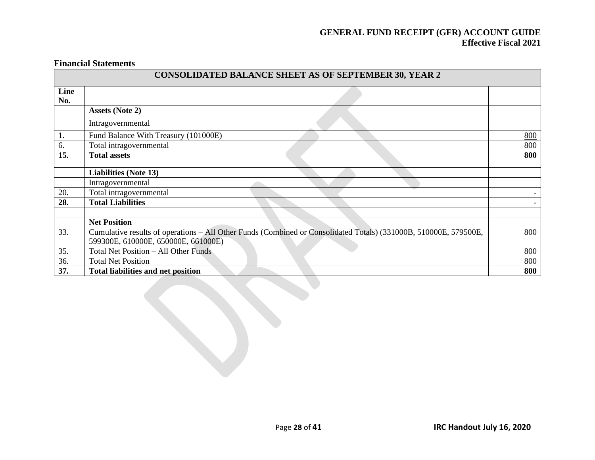#### **Financial Statements**

|             | <b>CONSOLIDATED BALANCE SHEET AS OF SEPTEMBER 30, YEAR 2</b>                                                     |     |
|-------------|------------------------------------------------------------------------------------------------------------------|-----|
| Line<br>No. |                                                                                                                  |     |
|             | <b>Assets (Note 2)</b>                                                                                           |     |
|             | Intragovernmental                                                                                                |     |
| 1.          | Fund Balance With Treasury (101000E)                                                                             | 800 |
| 6.          | Total intragovernmental                                                                                          | 800 |
| 15.         | <b>Total assets</b>                                                                                              | 800 |
|             |                                                                                                                  |     |
|             | <b>Liabilities (Note 13)</b>                                                                                     |     |
|             | Intragovernmental                                                                                                |     |
| 20.         | Total intragovernmental                                                                                          | -   |
| 28.         | <b>Total Liabilities</b>                                                                                         |     |
|             |                                                                                                                  |     |
|             | <b>Net Position</b>                                                                                              |     |
| 33.         | Cumulative results of operations - All Other Funds (Combined or Consolidated Totals) (331000B, 510000E, 579500E, | 800 |
|             | 599300E, 610000E, 650000E, 661000E)                                                                              |     |
| 35.         | Total Net Position - All Other Funds                                                                             | 800 |
| 36.         | <b>Total Net Position</b>                                                                                        | 800 |
| 37.         | <b>Total liabilities and net position</b>                                                                        | 800 |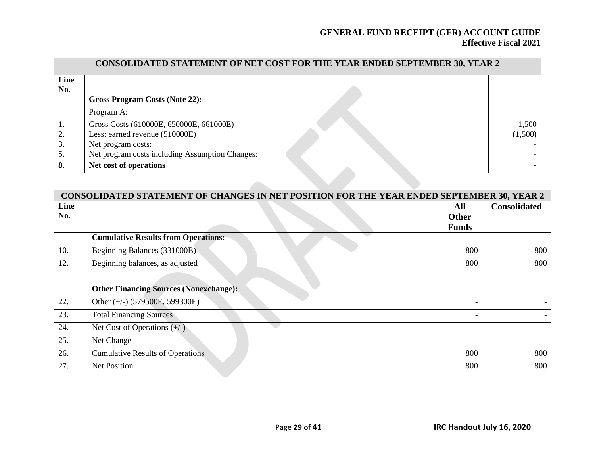|             | CONSOLIDATED STATEMENT OF NET COST FOR THE YEAR ENDED SEPTEMBER 30, YEAR 2 |         |  |  |  |
|-------------|----------------------------------------------------------------------------|---------|--|--|--|
| Line<br>No. |                                                                            |         |  |  |  |
|             | <b>Gross Program Costs (Note 22):</b>                                      |         |  |  |  |
|             | Program A:                                                                 |         |  |  |  |
|             | Gross Costs (610000E, 650000E, 661000E)                                    | 1,500   |  |  |  |
| 2.          | Less: earned revenue (510000E)                                             | (1,500) |  |  |  |
| 3.          | Net program costs:                                                         |         |  |  |  |
| 5.          | Net program costs including Assumption Changes:                            |         |  |  |  |
| 8.          | Net cost of operations                                                     |         |  |  |  |
|             |                                                                            |         |  |  |  |

|      | CONSOLIDATED STATEMENT OF CHANGES IN NET POSITION FOR THE YEAR ENDED SEPTEMBER 30, YEAR 2 |                          |                     |  |  |  |
|------|-------------------------------------------------------------------------------------------|--------------------------|---------------------|--|--|--|
| Line |                                                                                           | All                      | <b>Consolidated</b> |  |  |  |
| No.  |                                                                                           | <b>Other</b>             |                     |  |  |  |
|      |                                                                                           | <b>Funds</b>             |                     |  |  |  |
|      | <b>Cumulative Results from Operations:</b>                                                |                          |                     |  |  |  |
| 10.  | Beginning Balances (331000B)                                                              | 800                      | 800                 |  |  |  |
| 12.  | Beginning balances, as adjusted                                                           | 800                      | 800                 |  |  |  |
|      |                                                                                           |                          |                     |  |  |  |
|      | <b>Other Financing Sources (Nonexchange):</b>                                             |                          |                     |  |  |  |
| 22.  | Other (+/-) (579500E, 599300E)                                                            |                          |                     |  |  |  |
| 23.  | <b>Total Financing Sources</b>                                                            | $\overline{\phantom{a}}$ |                     |  |  |  |
| 24.  | Net Cost of Operations $(+/-)$                                                            | $\overline{\phantom{a}}$ |                     |  |  |  |
| 25.  | Net Change                                                                                | $\overline{\phantom{a}}$ |                     |  |  |  |
| 26.  | <b>Cumulative Results of Operations</b>                                                   | 800                      | 800                 |  |  |  |
| 27.  | <b>Net Position</b>                                                                       | 800                      | 800                 |  |  |  |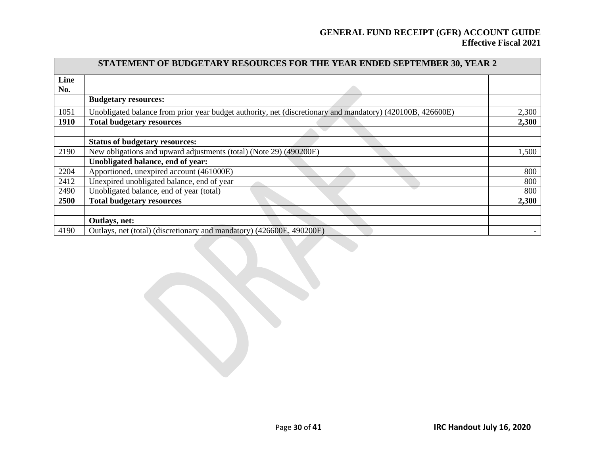|             | STATEMENT OF BUDGETARY RESOURCES FOR THE YEAR ENDED SEPTEMBER 30, YEAR 2                                   |       |
|-------------|------------------------------------------------------------------------------------------------------------|-------|
| Line        |                                                                                                            |       |
| No.         |                                                                                                            |       |
|             | <b>Budgetary resources:</b>                                                                                |       |
| 1051        | Unobligated balance from prior year budget authority, net (discretionary and mandatory) (420100B, 426600E) | 2,300 |
| <b>1910</b> | <b>Total budgetary resources</b>                                                                           | 2,300 |
|             |                                                                                                            |       |
|             | <b>Status of budgetary resources:</b>                                                                      |       |
| 2190        | New obligations and upward adjustments (total) (Note 29) (490200E)                                         | 1,500 |
|             | Unobligated balance, end of year:                                                                          |       |
| 2204        | Apportioned, unexpired account (461000E)                                                                   | 800   |
| 2412        | Unexpired unobligated balance, end of year                                                                 | 800   |
| 2490        | Unobligated balance, end of year (total)                                                                   | 800   |
| 2500        | <b>Total budgetary resources</b>                                                                           | 2,300 |
|             |                                                                                                            |       |
|             | Outlays, net:                                                                                              |       |
| 4190        | Outlays, net (total) (discretionary and mandatory) (426600E, 490200E)                                      |       |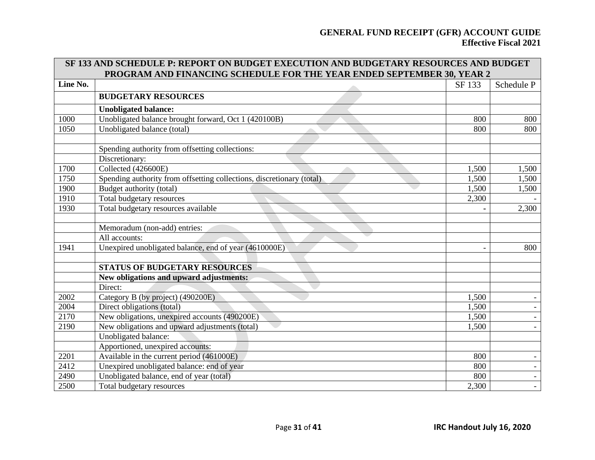| SF 133 AND SCHEDULE P: REPORT ON BUDGET EXECUTION AND BUDGETARY RESOURCES AND BUDGET |                                                                        |        |            |  |  |
|--------------------------------------------------------------------------------------|------------------------------------------------------------------------|--------|------------|--|--|
|                                                                                      | PROGRAM AND FINANCING SCHEDULE FOR THE YEAR ENDED SEPTEMBER 30, YEAR 2 |        |            |  |  |
| Line No.                                                                             |                                                                        | SF 133 | Schedule P |  |  |
|                                                                                      | <b>BUDGETARY RESOURCES</b>                                             |        |            |  |  |
|                                                                                      | <b>Unobligated balance:</b>                                            |        |            |  |  |
| 1000                                                                                 | Unobligated balance brought forward, Oct 1 (420100B)                   | 800    | 800        |  |  |
| 1050                                                                                 | Unobligated balance (total)                                            | 800    | 800        |  |  |
|                                                                                      |                                                                        |        |            |  |  |
|                                                                                      | Spending authority from offsetting collections:                        |        |            |  |  |
|                                                                                      | Discretionary:                                                         |        |            |  |  |
| 1700                                                                                 | Collected (426600E)                                                    | 1,500  | 1,500      |  |  |
| 1750                                                                                 | Spending authority from offsetting collections, discretionary (total)  | 1,500  | 1,500      |  |  |
| 1900                                                                                 | Budget authority (total)                                               | 1,500  | 1,500      |  |  |
| 1910                                                                                 | Total budgetary resources                                              | 2,300  |            |  |  |
| 1930                                                                                 | Total budgetary resources available                                    |        | 2,300      |  |  |
|                                                                                      |                                                                        |        |            |  |  |
|                                                                                      | Memoradum (non-add) entries:                                           |        |            |  |  |
|                                                                                      | All accounts:                                                          |        |            |  |  |
| 1941                                                                                 | Unexpired unobligated balance, end of year (4610000E)                  |        | 800        |  |  |
|                                                                                      |                                                                        |        |            |  |  |
|                                                                                      | <b>STATUS OF BUDGETARY RESOURCES</b>                                   |        |            |  |  |
|                                                                                      | New obligations and upward adjustments:                                |        |            |  |  |
|                                                                                      | Direct:                                                                |        |            |  |  |
| 2002                                                                                 | Category B (by project) (490200E)                                      | 1,500  |            |  |  |
| 2004                                                                                 | Direct obligations (total)                                             | 1,500  |            |  |  |
| 2170                                                                                 | New obligations, unexpired accounts (490200E)                          | 1,500  |            |  |  |
| 2190                                                                                 | New obligations and upward adjustments (total)                         | 1,500  |            |  |  |
|                                                                                      | Unobligated balance:                                                   |        |            |  |  |
|                                                                                      | Apportioned, unexpired accounts:                                       |        |            |  |  |
| 2201                                                                                 | Available in the current period (461000E)                              | 800    |            |  |  |
| 2412                                                                                 | Unexpired unobligated balance: end of year                             | 800    |            |  |  |
| 2490                                                                                 | Unobligated balance, end of year (total)                               | 800    |            |  |  |
| 2500                                                                                 | Total budgetary resources                                              | 2,300  |            |  |  |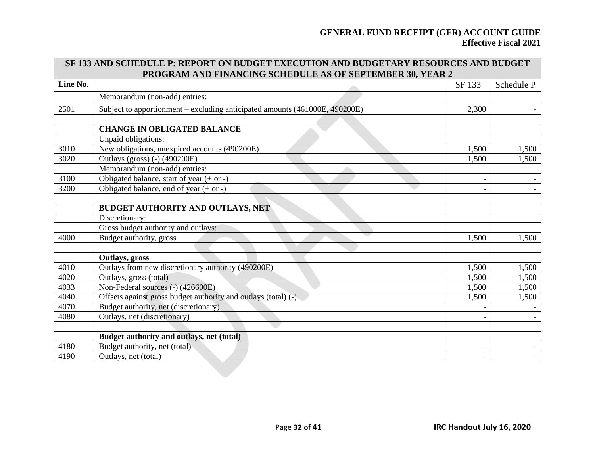| <b>SF 133 AND SCHEDULE P: REPORT ON BUDGET EXECUTION AND BUDGETARY RESOURCES AND BUDGET</b> |                                                                             |        |            |  |  |  |  |
|---------------------------------------------------------------------------------------------|-----------------------------------------------------------------------------|--------|------------|--|--|--|--|
|                                                                                             | PROGRAM AND FINANCING SCHEDULE AS OF SEPTEMBER 30, YEAR 2                   |        |            |  |  |  |  |
| Line No.                                                                                    |                                                                             | SF 133 | Schedule P |  |  |  |  |
|                                                                                             | Memorandum (non-add) entries:                                               |        |            |  |  |  |  |
| 2501                                                                                        | Subject to apportionment – excluding anticipated amounts (461000E, 490200E) | 2,300  |            |  |  |  |  |
|                                                                                             |                                                                             |        |            |  |  |  |  |
|                                                                                             | <b>CHANGE IN OBLIGATED BALANCE</b>                                          |        |            |  |  |  |  |
|                                                                                             | Unpaid obligations:                                                         |        |            |  |  |  |  |
| 3010                                                                                        | New obligations, unexpired accounts (490200E)                               | 1,500  | 1,500      |  |  |  |  |
| 3020                                                                                        | Outlays (gross) (-) (490200E)                                               | 1,500  | 1,500      |  |  |  |  |
|                                                                                             | Memorandum (non-add) entries:                                               |        |            |  |  |  |  |
| 3100                                                                                        | Obligated balance, start of year $(+ or -)$                                 |        |            |  |  |  |  |
| 3200                                                                                        | Obligated balance, end of year $(+ or -)$                                   |        |            |  |  |  |  |
|                                                                                             |                                                                             |        |            |  |  |  |  |
|                                                                                             | BUDGET AUTHORITY AND OUTLAYS, NET                                           |        |            |  |  |  |  |
|                                                                                             | Discretionary:                                                              |        |            |  |  |  |  |
|                                                                                             | Gross budget authority and outlays:                                         |        |            |  |  |  |  |
| 4000                                                                                        | Budget authority, gross                                                     | 1,500  | 1,500      |  |  |  |  |
|                                                                                             |                                                                             |        |            |  |  |  |  |
|                                                                                             | Outlays, gross                                                              |        |            |  |  |  |  |
| 4010                                                                                        | Outlays from new discretionary authority (490200E)                          | 1,500  | 1,500      |  |  |  |  |
| 4020                                                                                        | Outlays, gross (total)                                                      | 1,500  | 1,500      |  |  |  |  |
| 4033                                                                                        | Non-Federal sources (-) (426600E)                                           | 1,500  | 1,500      |  |  |  |  |
| 4040                                                                                        | Offsets against gross budget authority and outlays (total) (-)              | 1,500  | 1,500      |  |  |  |  |
| 4070                                                                                        | Budget authority, net (discretionary)                                       |        |            |  |  |  |  |
| 4080                                                                                        | Outlays, net (discretionary)                                                |        |            |  |  |  |  |
|                                                                                             |                                                                             |        |            |  |  |  |  |
|                                                                                             | Budget authority and outlays, net (total)                                   |        |            |  |  |  |  |
| 4180                                                                                        | Budget authority, net (total)                                               |        |            |  |  |  |  |
| 4190                                                                                        | Outlays, net (total)                                                        |        |            |  |  |  |  |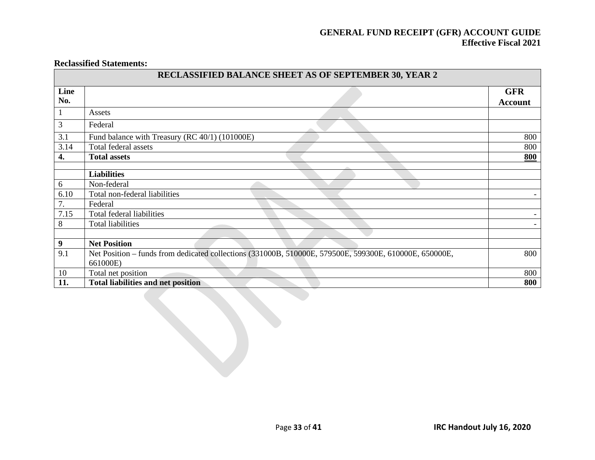#### **Reclassified Statements:**

|             | RECLASSIFIED BALANCE SHEET AS OF SEPTEMBER 30, YEAR 2                                                              |                              |
|-------------|--------------------------------------------------------------------------------------------------------------------|------------------------------|
| Line<br>No. |                                                                                                                    | <b>GFR</b><br><b>Account</b> |
|             | Assets                                                                                                             |                              |
| 3           | Federal                                                                                                            |                              |
| 3.1         | Fund balance with Treasury (RC 40/1) (101000E)                                                                     | 800                          |
| 3.14        | Total federal assets                                                                                               | 800                          |
| 4.          | <b>Total assets</b>                                                                                                | 800                          |
|             |                                                                                                                    |                              |
|             | <b>Liabilities</b>                                                                                                 |                              |
| 6           | Non-federal                                                                                                        |                              |
| 6.10        | Total non-federal liabilities                                                                                      | $\overline{\phantom{0}}$     |
| 7.          | Federal                                                                                                            |                              |
| 7.15        | Total federal liabilities                                                                                          | $\overline{\phantom{0}}$     |
| 8           | <b>Total liabilities</b>                                                                                           |                              |
|             |                                                                                                                    |                              |
| 9           | <b>Net Position</b>                                                                                                |                              |
| 9.1         | Net Position – funds from dedicated collections (331000B, 510000E, 579500E, 599300E, 610000E, 650000E,<br>661000E) | 800                          |
| 10          | Total net position                                                                                                 | 800                          |
| 11.         | <b>Total liabilities and net position</b>                                                                          | 800                          |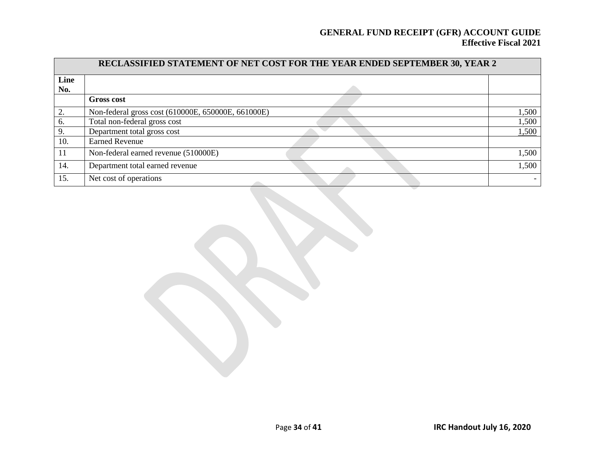| RECLASSIFIED STATEMENT OF NET COST FOR THE YEAR ENDED SEPTEMBER 30, YEAR 2 |                                                    |       |  |  |
|----------------------------------------------------------------------------|----------------------------------------------------|-------|--|--|
| Line                                                                       |                                                    |       |  |  |
| No.                                                                        |                                                    |       |  |  |
|                                                                            | <b>Gross cost</b>                                  |       |  |  |
| 2.                                                                         | Non-federal gross cost (610000E, 650000E, 661000E) | 1,500 |  |  |
| 6.                                                                         | Total non-federal gross cost                       | 1,500 |  |  |
| 9.                                                                         | Department total gross cost                        | 1,500 |  |  |
| 10.                                                                        | <b>Earned Revenue</b>                              |       |  |  |
| <sup>11</sup>                                                              | Non-federal earned revenue (510000E)               | 1,500 |  |  |
| 14.                                                                        | Department total earned revenue                    | 1,500 |  |  |
| 15.                                                                        | Net cost of operations                             |       |  |  |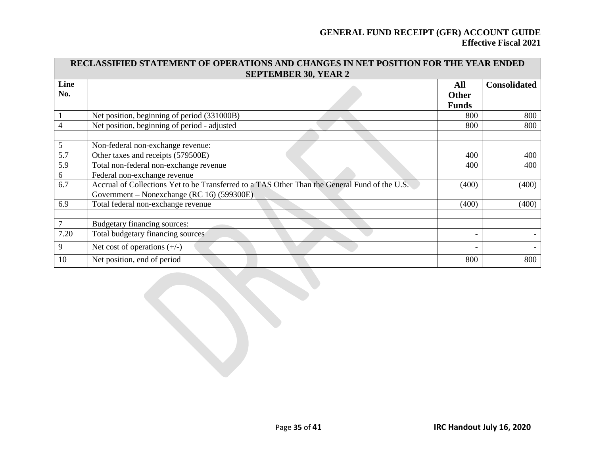| RECLASSIFIED STATEMENT OF OPERATIONS AND CHANGES IN NET POSITION FOR THE YEAR ENDED |                                                                                               |              |                     |  |  |  |  |  |  |  |
|-------------------------------------------------------------------------------------|-----------------------------------------------------------------------------------------------|--------------|---------------------|--|--|--|--|--|--|--|
|                                                                                     | <b>SEPTEMBER 30, YEAR 2</b>                                                                   |              |                     |  |  |  |  |  |  |  |
| Line                                                                                |                                                                                               | All          | <b>Consolidated</b> |  |  |  |  |  |  |  |
| No.                                                                                 |                                                                                               | <b>Other</b> |                     |  |  |  |  |  |  |  |
|                                                                                     |                                                                                               | <b>Funds</b> |                     |  |  |  |  |  |  |  |
|                                                                                     | Net position, beginning of period (331000B)                                                   | 800          | 800                 |  |  |  |  |  |  |  |
| $\overline{4}$                                                                      | Net position, beginning of period - adjusted                                                  | 800          | 800                 |  |  |  |  |  |  |  |
|                                                                                     |                                                                                               |              |                     |  |  |  |  |  |  |  |
| 5                                                                                   | Non-federal non-exchange revenue:                                                             |              |                     |  |  |  |  |  |  |  |
| 5.7                                                                                 | Other taxes and receipts (579500E)                                                            | 400          | 400                 |  |  |  |  |  |  |  |
| 5.9                                                                                 | Total non-federal non-exchange revenue                                                        | 400          | 400                 |  |  |  |  |  |  |  |
| 6                                                                                   | Federal non-exchange revenue                                                                  |              |                     |  |  |  |  |  |  |  |
| 6.7                                                                                 | Accrual of Collections Yet to be Transferred to a TAS Other Than the General Fund of the U.S. | (400)        | (400)               |  |  |  |  |  |  |  |
|                                                                                     | Government – Nonexchange (RC 16) (599300E)                                                    |              |                     |  |  |  |  |  |  |  |
| 6.9                                                                                 | Total federal non-exchange revenue                                                            | (400)        | (400)               |  |  |  |  |  |  |  |
|                                                                                     |                                                                                               |              |                     |  |  |  |  |  |  |  |
| $\overline{7}$                                                                      | Budgetary financing sources:                                                                  |              |                     |  |  |  |  |  |  |  |
| 7.20                                                                                | Total budgetary financing sources                                                             |              |                     |  |  |  |  |  |  |  |
| 9                                                                                   | Net cost of operations $(+/-)$                                                                |              |                     |  |  |  |  |  |  |  |
| 10                                                                                  | Net position, end of period                                                                   | 800          | 800                 |  |  |  |  |  |  |  |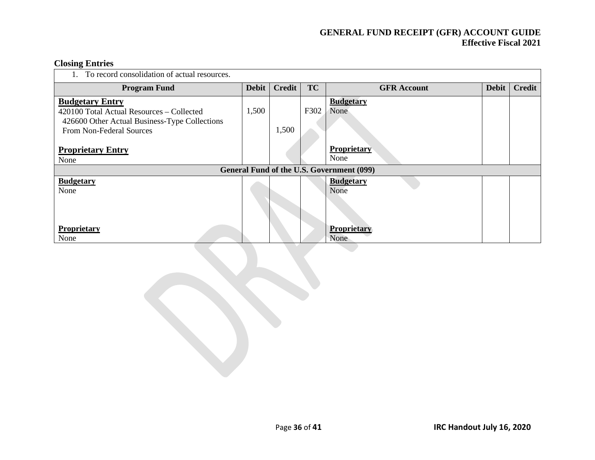### **Closing Entries**

| To record consolidation of actual resources.                                                                                                     |              |        |           |                                           |       |               |  |  |  |  |
|--------------------------------------------------------------------------------------------------------------------------------------------------|--------------|--------|-----------|-------------------------------------------|-------|---------------|--|--|--|--|
| <b>Program Fund</b>                                                                                                                              | <b>Debit</b> | Credit | <b>TC</b> | <b>GFR</b> Account                        | Debit | <b>Credit</b> |  |  |  |  |
| <b>Budgetary Entry</b><br>420100 Total Actual Resources – Collected<br>426600 Other Actual Business-Type Collections<br>From Non-Federal Sources | 1,500        | 1,500  | F302      | <b>Budgetary</b><br>None                  |       |               |  |  |  |  |
| <b>Proprietary Entry</b><br>None                                                                                                                 |              |        |           | <b>Proprietary</b><br>None                |       |               |  |  |  |  |
|                                                                                                                                                  |              |        |           | General Fund of the U.S. Government (099) |       |               |  |  |  |  |
| <b>Budgetary</b><br>None                                                                                                                         |              |        |           | <b>Budgetary</b><br>None                  |       |               |  |  |  |  |
| Proprietary<br>None                                                                                                                              |              |        |           | <b>Proprietary</b><br>None                |       |               |  |  |  |  |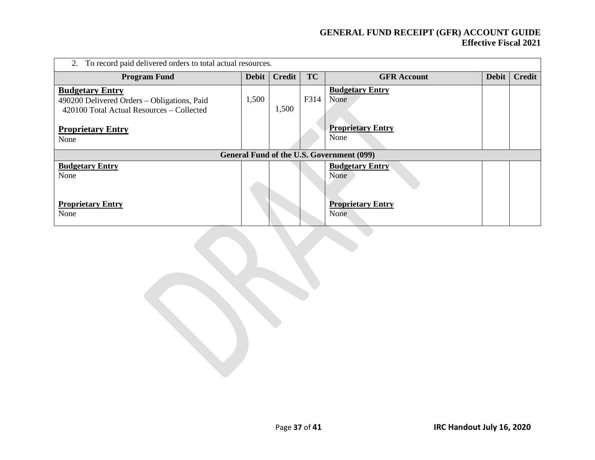| 2. To record paid delivered orders to total actual resources.                                                      |              |               |           |                                           |              |               |  |  |  |
|--------------------------------------------------------------------------------------------------------------------|--------------|---------------|-----------|-------------------------------------------|--------------|---------------|--|--|--|
| <b>Program Fund</b>                                                                                                | <b>Debit</b> | <b>Credit</b> | <b>TC</b> | <b>GFR</b> Account                        | <b>Debit</b> | <b>Credit</b> |  |  |  |
| <b>Budgetary Entry</b><br>490200 Delivered Orders - Obligations, Paid<br>420100 Total Actual Resources – Collected | 1,500        | 1,500         | F314      | <b>Budgetary Entry</b><br>None            |              |               |  |  |  |
| <b>Proprietary Entry</b><br>None                                                                                   |              |               |           | <b>Proprietary Entry</b><br>None          |              |               |  |  |  |
|                                                                                                                    |              |               |           | General Fund of the U.S. Government (099) |              |               |  |  |  |
| <b>Budgetary Entry</b><br>None                                                                                     |              |               |           | <b>Budgetary Entry</b><br>None            |              |               |  |  |  |
| <b>Proprietary Entry</b><br>None                                                                                   |              |               |           | <b>Proprietary Entry</b><br>None          |              |               |  |  |  |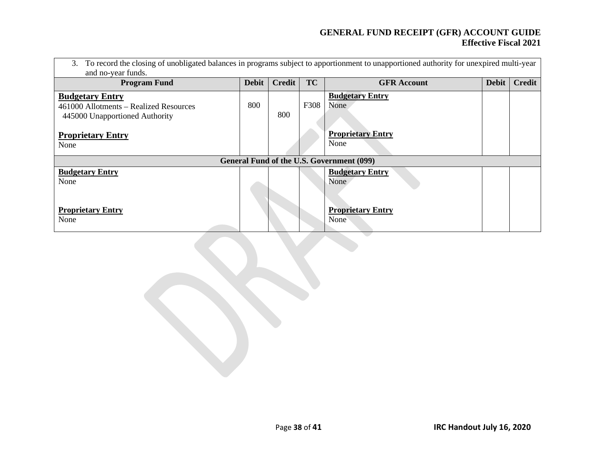| To record the closing of unobligated balances in programs subject to apportionment to unapportioned authority for unexpired multi-year<br>3.<br>and no-year funds. |              |               |           |                                  |              |        |  |  |  |
|--------------------------------------------------------------------------------------------------------------------------------------------------------------------|--------------|---------------|-----------|----------------------------------|--------------|--------|--|--|--|
| <b>Program Fund</b>                                                                                                                                                | <b>Debit</b> | <b>Credit</b> | <b>TC</b> | <b>GFR</b> Account               | <b>Debit</b> | Credit |  |  |  |
| <b>Budgetary Entry</b><br>461000 Allotments – Realized Resources                                                                                                   | 800          | 800           | F308      | <b>Budgetary Entry</b><br>None   |              |        |  |  |  |
| 445000 Unapportioned Authority<br><b>Proprietary Entry</b><br>None                                                                                                 |              |               |           | <b>Proprietary Entry</b><br>None |              |        |  |  |  |
| General Fund of the U.S. Government (099)                                                                                                                          |              |               |           |                                  |              |        |  |  |  |
| <b>Budgetary Entry</b><br>None                                                                                                                                     |              |               |           | <b>Budgetary Entry</b><br>None   |              |        |  |  |  |
| <b>Proprietary Entry</b><br>None                                                                                                                                   |              |               |           | <b>Proprietary Entry</b><br>None |              |        |  |  |  |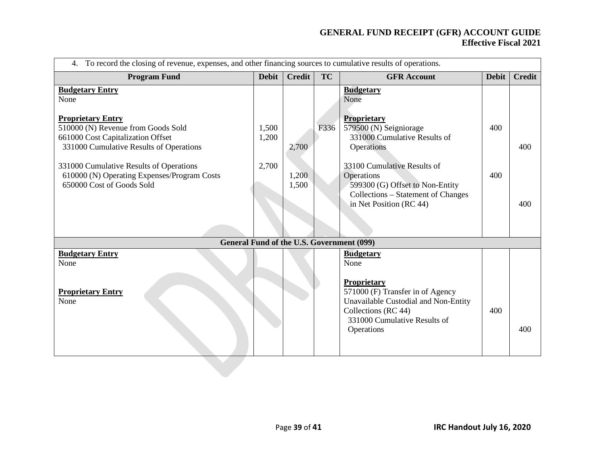| To record the closing of revenue, expenses, and other financing sources to cumulative results of operations.<br>4.                             |                |                |           |                                                                                                                                                              |              |               |  |  |
|------------------------------------------------------------------------------------------------------------------------------------------------|----------------|----------------|-----------|--------------------------------------------------------------------------------------------------------------------------------------------------------------|--------------|---------------|--|--|
| <b>Program Fund</b>                                                                                                                            | <b>Debit</b>   | <b>Credit</b>  | <b>TC</b> | <b>GFR Account</b>                                                                                                                                           | <b>Debit</b> | <b>Credit</b> |  |  |
| <b>Budgetary Entry</b><br>None                                                                                                                 |                |                |           | <b>Budgetary</b><br>None                                                                                                                                     |              |               |  |  |
| <b>Proprietary Entry</b><br>510000 (N) Revenue from Goods Sold<br>661000 Cost Capitalization Offset<br>331000 Cumulative Results of Operations | 1,500<br>1,200 | 2,700          | F336      | <b>Proprietary</b><br>579500 (N) Seigniorage<br>331000 Cumulative Results of<br>Operations                                                                   | 400          | 400           |  |  |
| 331000 Cumulative Results of Operations<br>610000 (N) Operating Expenses/Program Costs<br>650000 Cost of Goods Sold                            | 2,700          | 1,200<br>1,500 |           | 33100 Cumulative Results of<br>Operations<br>599300 (G) Offset to Non-Entity<br>Collections – Statement of Changes                                           | 400          |               |  |  |
|                                                                                                                                                |                |                |           | in Net Position (RC 44)                                                                                                                                      |              | 400           |  |  |
|                                                                                                                                                |                |                |           | <b>General Fund of the U.S. Government (099)</b>                                                                                                             |              |               |  |  |
| <b>Budgetary Entry</b><br>None                                                                                                                 |                |                |           | <b>Budgetary</b><br>None                                                                                                                                     |              |               |  |  |
| <b>Proprietary Entry</b><br>None                                                                                                               |                |                |           | Proprietary<br>571000 (F) Transfer in of Agency<br>Unavailable Custodial and Non-Entity<br>Collections (RC 44)<br>331000 Cumulative Results of<br>Operations | 400          | 400           |  |  |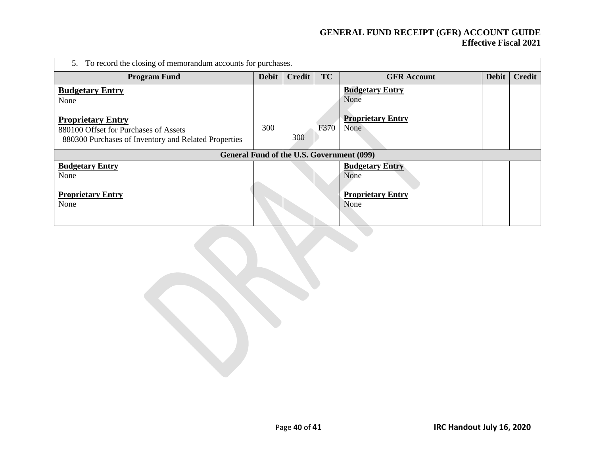| 5. To record the closing of memorandum accounts for purchases.                                                                                              |              |               |           |                                                                    |              |               |  |  |
|-------------------------------------------------------------------------------------------------------------------------------------------------------------|--------------|---------------|-----------|--------------------------------------------------------------------|--------------|---------------|--|--|
| <b>Program Fund</b>                                                                                                                                         | <b>Debit</b> | <b>Credit</b> | <b>TC</b> | <b>GFR</b> Account                                                 | <b>Debit</b> | <b>Credit</b> |  |  |
| <b>Budgetary Entry</b><br>None<br><b>Proprietary Entry</b><br>880100 Offset for Purchases of Assets<br>880300 Purchases of Inventory and Related Properties |              | 300           | F370      | <b>Budgetary Entry</b><br>None<br><b>Proprietary Entry</b><br>None |              |               |  |  |
|                                                                                                                                                             |              |               |           | General Fund of the U.S. Government (099)                          |              |               |  |  |
| <b>Budgetary Entry</b><br>None<br><b>Proprietary Entry</b><br>None                                                                                          |              |               |           | <b>Budgetary Entry</b><br>None<br><b>Proprietary Entry</b><br>None |              |               |  |  |